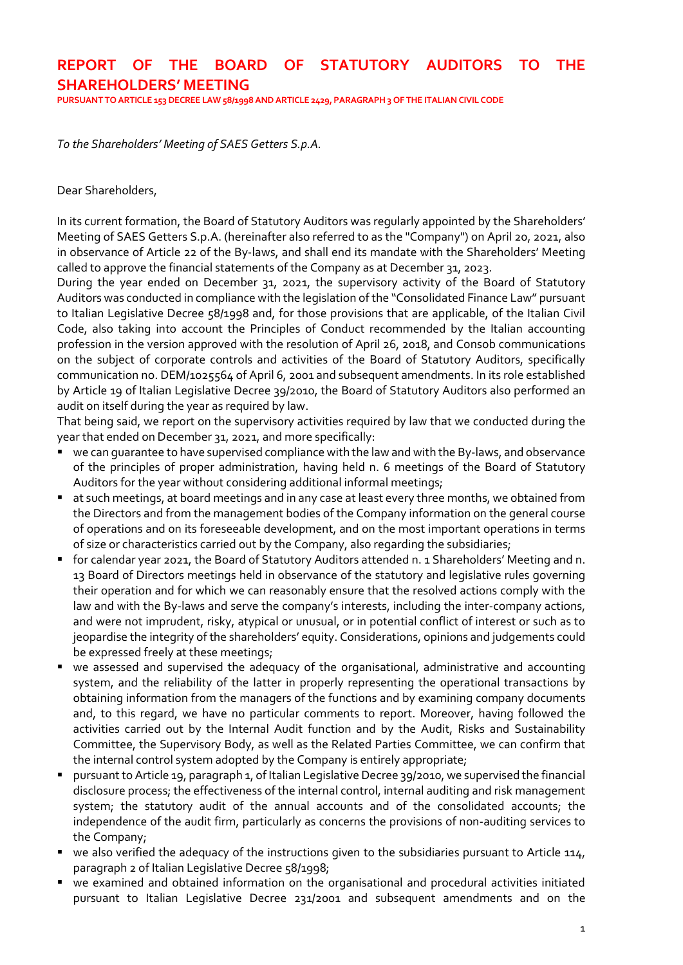# REPORT OF THE BOARD OF STATUTORY AUDITORS TO THE SHAREHOLDERS' MEETING

PURSUANT TO ARTICLE 153 DECREE LAW 58/1998 AND ARTICLE 2429, PARAGRAPH 3 OF THE ITALIAN CIVIL CODE

To the Shareholders' Meeting of SAES Getters S.p.A.

#### Dear Shareholders,

In its current formation, the Board of Statutory Auditors was regularly appointed by the Shareholders' Meeting of SAES Getters S.p.A. (hereinafter also referred to as the "Company") on April 20, 2021, also in observance of Article 22 of the By-laws, and shall end its mandate with the Shareholders' Meeting called to approve the financial statements of the Company as at December 31, 2023.

During the year ended on December 31, 2021, the supervisory activity of the Board of Statutory Auditors was conducted in compliance with the legislation of the "Consolidated Finance Law" pursuant to Italian Legislative Decree 58/1998 and, for those provisions that are applicable, of the Italian Civil Code, also taking into account the Principles of Conduct recommended by the Italian accounting profession in the version approved with the resolution of April 26, 2018, and Consob communications on the subject of corporate controls and activities of the Board of Statutory Auditors, specifically communication no. DEM/1025564 of April 6, 2001 and subsequent amendments. In its role established by Article 19 of Italian Legislative Decree 39/2010, the Board of Statutory Auditors also performed an audit on itself during the year as required by law.

That being said, we report on the supervisory activities required by law that we conducted during the year that ended on December 31, 2021, and more specifically:

- we can guarantee to have supervised compliance with the law and with the By-laws, and observance of the principles of proper administration, having held n. 6 meetings of the Board of Statutory Auditors for the year without considering additional informal meetings;
- at such meetings, at board meetings and in any case at least every three months, we obtained from the Directors and from the management bodies of the Company information on the general course of operations and on its foreseeable development, and on the most important operations in terms of size or characteristics carried out by the Company, also regarding the subsidiaries;
- for calendar year 2021, the Board of Statutory Auditors attended n. 1 Shareholders' Meeting and n. 13 Board of Directors meetings held in observance of the statutory and legislative rules governing their operation and for which we can reasonably ensure that the resolved actions comply with the law and with the By-laws and serve the company's interests, including the inter-company actions, and were not imprudent, risky, atypical or unusual, or in potential conflict of interest or such as to jeopardise the integrity of the shareholders' equity. Considerations, opinions and judgements could be expressed freely at these meetings;
- we assessed and supervised the adequacy of the organisational, administrative and accounting system, and the reliability of the latter in properly representing the operational transactions by obtaining information from the managers of the functions and by examining company documents and, to this regard, we have no particular comments to report. Moreover, having followed the activities carried out by the Internal Audit function and by the Audit, Risks and Sustainability Committee, the Supervisory Body, as well as the Related Parties Committee, we can confirm that the internal control system adopted by the Company is entirely appropriate;
- pursuant to Article 19, paragraph 1, of Italian Legislative Decree 39/2010, we supervised the financial disclosure process; the effectiveness of the internal control, internal auditing and risk management system; the statutory audit of the annual accounts and of the consolidated accounts; the independence of the audit firm, particularly as concerns the provisions of non-auditing services to the Company;
- we also verified the adequacy of the instructions given to the subsidiaries pursuant to Article 114, paragraph 2 of Italian Legislative Decree 58/1998;
- we examined and obtained information on the organisational and procedural activities initiated pursuant to Italian Legislative Decree 231/2001 and subsequent amendments and on the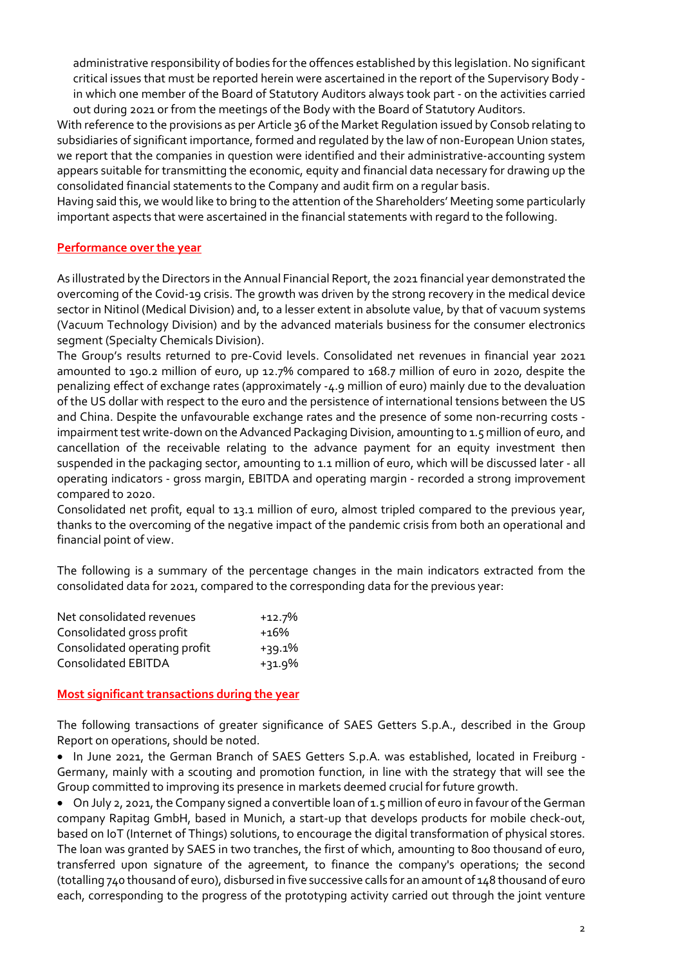administrative responsibility of bodies for the offences established by this legislation. No significant critical issues that must be reported herein were ascertained in the report of the Supervisory Body in which one member of the Board of Statutory Auditors always took part - on the activities carried out during 2021 or from the meetings of the Body with the Board of Statutory Auditors.

With reference to the provisions as per Article 36 of the Market Regulation issued by Consob relating to subsidiaries of significant importance, formed and regulated by the law of non-European Union states, we report that the companies in question were identified and their administrative-accounting system appears suitable for transmitting the economic, equity and financial data necessary for drawing up the consolidated financial statements to the Company and audit firm on a regular basis.

Having said this, we would like to bring to the attention of the Shareholders' Meeting some particularly important aspects that were ascertained in the financial statements with regard to the following.

### Performance over the year

As illustrated by the Directors in the Annual Financial Report, the 2021 financial year demonstrated the overcoming of the Covid-19 crisis. The growth was driven by the strong recovery in the medical device sector in Nitinol (Medical Division) and, to a lesser extent in absolute value, by that of vacuum systems (Vacuum Technology Division) and by the advanced materials business for the consumer electronics segment (Specialty Chemicals Division).

The Group's results returned to pre-Covid levels. Consolidated net revenues in financial year 2021 amounted to 190.2 million of euro, up 12.7% compared to 168.7 million of euro in 2020, despite the penalizing effect of exchange rates (approximately -4.9 million of euro) mainly due to the devaluation of the US dollar with respect to the euro and the persistence of international tensions between the US and China. Despite the unfavourable exchange rates and the presence of some non-recurring costs impairment test write-down on the Advanced Packaging Division, amounting to 1.5 million of euro, and cancellation of the receivable relating to the advance payment for an equity investment then suspended in the packaging sector, amounting to 1.1 million of euro, which will be discussed later - all operating indicators - gross margin, EBITDA and operating margin - recorded a strong improvement compared to 2020.

Consolidated net profit, equal to 13.1 million of euro, almost tripled compared to the previous year, thanks to the overcoming of the negative impact of the pandemic crisis from both an operational and financial point of view.

The following is a summary of the percentage changes in the main indicators extracted from the consolidated data for 2021, compared to the corresponding data for the previous year:

| Net consolidated revenues     | $+12.7%$ |
|-------------------------------|----------|
| Consolidated gross profit     | +16%     |
| Consolidated operating profit | $+39.1%$ |
| <b>Consolidated EBITDA</b>    | $+31.9%$ |

#### Most significant transactions during the year

The following transactions of greater significance of SAES Getters S.p.A., described in the Group Report on operations, should be noted.

 In June 2021, the German Branch of SAES Getters S.p.A. was established, located in Freiburg - Germany, mainly with a scouting and promotion function, in line with the strategy that will see the Group committed to improving its presence in markets deemed crucial for future growth.

 On July 2, 2021, the Company signed a convertible loan of 1.5 million of euro in favour of the German company Rapitag GmbH, based in Munich, a start-up that develops products for mobile check-out, based on IoT (Internet of Things) solutions, to encourage the digital transformation of physical stores. The loan was granted by SAES in two tranches, the first of which, amounting to 800 thousand of euro, transferred upon signature of the agreement, to finance the company's operations; the second (totalling 740 thousand of euro), disbursed in five successive calls for an amount of 148 thousand of euro each, corresponding to the progress of the prototyping activity carried out through the joint venture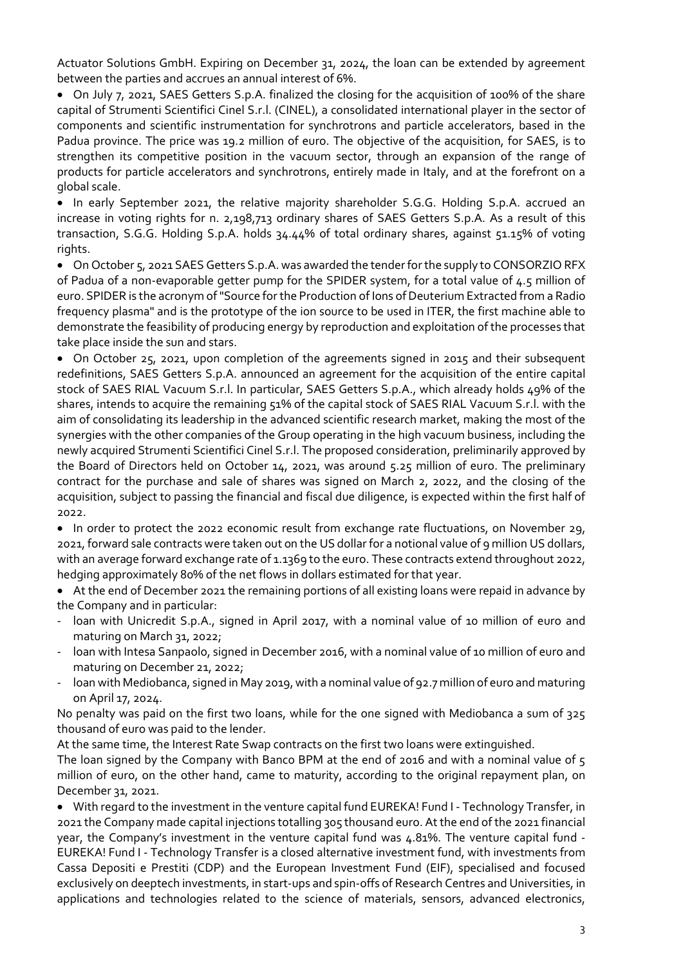Actuator Solutions GmbH. Expiring on December 31, 2024, the loan can be extended by agreement between the parties and accrues an annual interest of 6%.

 On July 7, 2021, SAES Getters S.p.A. finalized the closing for the acquisition of 100% of the share capital of Strumenti Scientifici Cinel S.r.l. (CINEL), a consolidated international player in the sector of components and scientific instrumentation for synchrotrons and particle accelerators, based in the Padua province. The price was 19.2 million of euro. The objective of the acquisition, for SAES, is to strengthen its competitive position in the vacuum sector, through an expansion of the range of products for particle accelerators and synchrotrons, entirely made in Italy, and at the forefront on a global scale.

• In early September 2021, the relative majority shareholder S.G.G. Holding S.p.A. accrued an increase in voting rights for n. 2,198,713 ordinary shares of SAES Getters S.p.A. As a result of this transaction, S.G.G. Holding S.p.A. holds 34.44% of total ordinary shares, against 51.15% of voting rights.

 On October 5, 2021 SAES Getters S.p.A. was awarded the tender for the supply to CONSORZIO RFX of Padua of a non-evaporable getter pump for the SPIDER system, for a total value of 4.5 million of euro. SPIDER is the acronym of "Source for the Production of Ions of Deuterium Extracted from a Radio frequency plasma" and is the prototype of the ion source to be used in ITER, the first machine able to demonstrate the feasibility of producing energy by reproduction and exploitation of the processes that take place inside the sun and stars.

 On October 25, 2021, upon completion of the agreements signed in 2015 and their subsequent redefinitions, SAES Getters S.p.A. announced an agreement for the acquisition of the entire capital stock of SAES RIAL Vacuum S.r.l. In particular, SAES Getters S.p.A., which already holds 49% of the shares, intends to acquire the remaining 51% of the capital stock of SAES RIAL Vacuum S.r.l. with the aim of consolidating its leadership in the advanced scientific research market, making the most of the synergies with the other companies of the Group operating in the high vacuum business, including the newly acquired Strumenti Scientifici Cinel S.r.l. The proposed consideration, preliminarily approved by the Board of Directors held on October 14, 2021, was around 5.25 million of euro. The preliminary contract for the purchase and sale of shares was signed on March 2, 2022, and the closing of the acquisition, subject to passing the financial and fiscal due diligence, is expected within the first half of 2022.

• In order to protect the 2022 economic result from exchange rate fluctuations, on November 29, 2021, forward sale contracts were taken out on the US dollar for a notional value of 9 million US dollars, with an average forward exchange rate of 1.1369 to the euro. These contracts extend throughout 2022, hedging approximately 80% of the net flows in dollars estimated for that year.

 At the end of December 2021 the remaining portions of all existing loans were repaid in advance by the Company and in particular:

- loan with Unicredit S.p.A., signed in April 2017, with a nominal value of 10 million of euro and maturing on March 31, 2022;
- loan with Intesa Sanpaolo, signed in December 2016, with a nominal value of 10 million of euro and maturing on December 21, 2022;
- loan with Mediobanca, signed in May 2019, with a nominal value of 92.7 million of euro and maturing on April 17, 2024.

No penalty was paid on the first two loans, while for the one signed with Mediobanca a sum of 325 thousand of euro was paid to the lender.

At the same time, the Interest Rate Swap contracts on the first two loans were extinguished.

The loan signed by the Company with Banco BPM at the end of 2016 and with a nominal value of 5 million of euro, on the other hand, came to maturity, according to the original repayment plan, on December 31, 2021.

 With regard to the investment in the venture capital fund EUREKA! Fund I - Technology Transfer, in 2021 the Company made capital injections totalling 305 thousand euro. At the end of the 2021 financial year, the Company's investment in the venture capital fund was 4.81%. The venture capital fund - EUREKA! Fund I - Technology Transfer is a closed alternative investment fund, with investments from Cassa Depositi e Prestiti (CDP) and the European Investment Fund (EIF), specialised and focused exclusively on deeptech investments, in start-ups and spin-offs of Research Centres and Universities, in applications and technologies related to the science of materials, sensors, advanced electronics,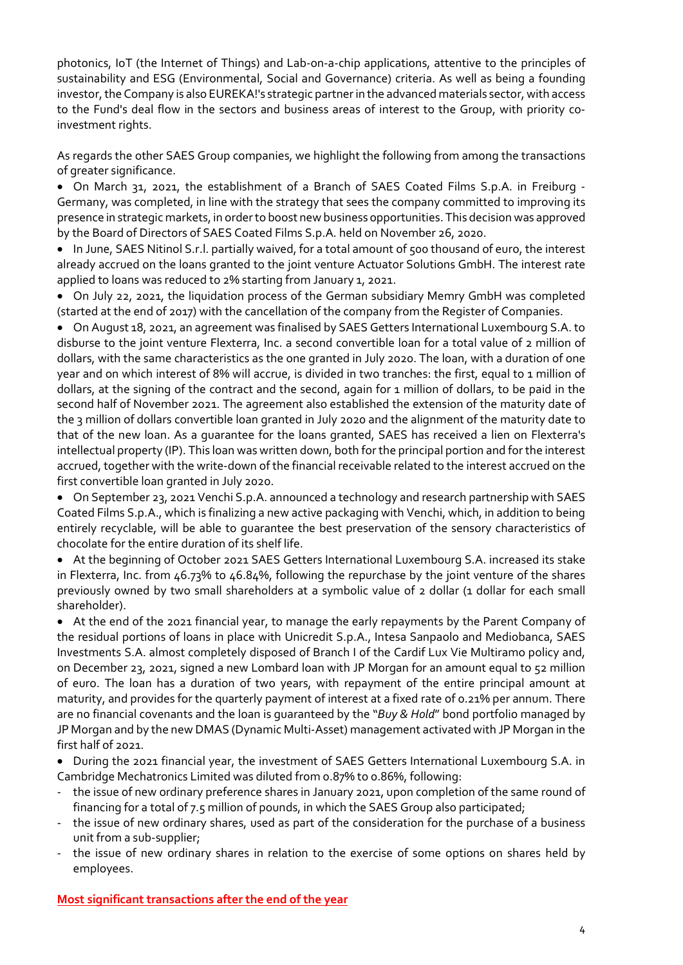photonics, IoT (the Internet of Things) and Lab-on-a-chip applications, attentive to the principles of sustainability and ESG (Environmental, Social and Governance) criteria. As well as being a founding investor, the Company is also EUREKA!'s strategic partner in the advanced materials sector, with access to the Fund's deal flow in the sectors and business areas of interest to the Group, with priority coinvestment rights.

As regards the other SAES Group companies, we highlight the following from among the transactions of greater significance.

 On March 31, 2021, the establishment of a Branch of SAES Coated Films S.p.A. in Freiburg - Germany, was completed, in line with the strategy that sees the company committed to improving its presence in strategic markets, in order to boost new business opportunities. This decision was approved by the Board of Directors of SAES Coated Films S.p.A. held on November 26, 2020.

• In June, SAES Nitinol S.r.l. partially waived, for a total amount of 500 thousand of euro, the interest already accrued on the loans granted to the joint venture Actuator Solutions GmbH. The interest rate applied to loans was reduced to 2% starting from January 1, 2021.

 On July 22, 2021, the liquidation process of the German subsidiary Memry GmbH was completed (started at the end of 2017) with the cancellation of the company from the Register of Companies.

 On August 18, 2021, an agreement was finalised by SAES Getters International Luxembourg S.A. to disburse to the joint venture Flexterra, Inc. a second convertible loan for a total value of 2 million of dollars, with the same characteristics as the one granted in July 2020. The loan, with a duration of one year and on which interest of 8% will accrue, is divided in two tranches: the first, equal to 1 million of dollars, at the signing of the contract and the second, again for 1 million of dollars, to be paid in the second half of November 2021. The agreement also established the extension of the maturity date of the 3 million of dollars convertible loan granted in July 2020 and the alignment of the maturity date to that of the new loan. As a guarantee for the loans granted, SAES has received a lien on Flexterra's intellectual property (IP). This loan was written down, both for the principal portion and for the interest accrued, together with the write-down of the financial receivable related to the interest accrued on the first convertible loan granted in July 2020.

 On September 23, 2021 Venchi S.p.A. announced a technology and research partnership with SAES Coated Films S.p.A., which is finalizing a new active packaging with Venchi, which, in addition to being entirely recyclable, will be able to guarantee the best preservation of the sensory characteristics of chocolate for the entire duration of its shelf life.

 At the beginning of October 2021 SAES Getters International Luxembourg S.A. increased its stake in Flexterra, Inc. from 46.73% to 46.84%, following the repurchase by the joint venture of the shares previously owned by two small shareholders at a symbolic value of 2 dollar (1 dollar for each small shareholder).

 At the end of the 2021 financial year, to manage the early repayments by the Parent Company of the residual portions of loans in place with Unicredit S.p.A., Intesa Sanpaolo and Mediobanca, SAES Investments S.A. almost completely disposed of Branch I of the Cardif Lux Vie Multiramo policy and, on December 23, 2021, signed a new Lombard loan with JP Morgan for an amount equal to 52 million of euro. The loan has a duration of two years, with repayment of the entire principal amount at maturity, and provides for the quarterly payment of interest at a fixed rate of 0.21% per annum. There are no financial covenants and the loan is quaranteed by the "Buy & Hold" bond portfolio managed by JP Morgan and by the new DMAS (Dynamic Multi-Asset) management activated with JP Morgan in the first half of 2021.

 During the 2021 financial year, the investment of SAES Getters International Luxembourg S.A. in Cambridge Mechatronics Limited was diluted from 0.87% to 0.86%, following:

- the issue of new ordinary preference shares in January 2021, upon completion of the same round of financing for a total of 7.5 million of pounds, in which the SAES Group also participated;
- the issue of new ordinary shares, used as part of the consideration for the purchase of a business unit from a sub-supplier;
- the issue of new ordinary shares in relation to the exercise of some options on shares held by employees.

Most significant transactions after the end of the year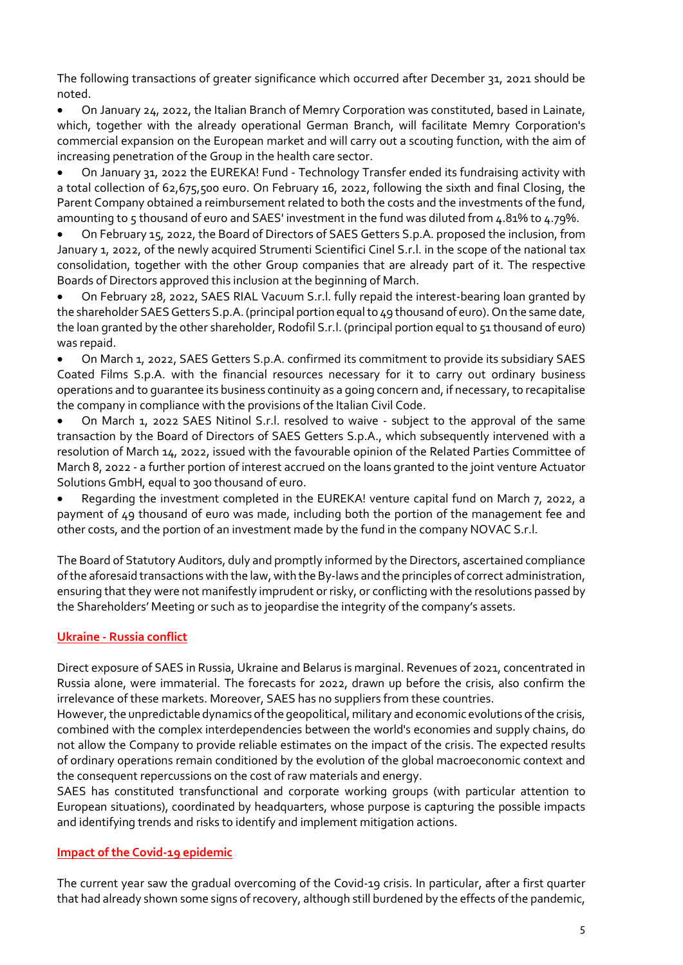The following transactions of greater significance which occurred after December 31, 2021 should be noted.

 On January 24, 2022, the Italian Branch of Memry Corporation was constituted, based in Lainate, which, together with the already operational German Branch, will facilitate Memry Corporation's commercial expansion on the European market and will carry out a scouting function, with the aim of increasing penetration of the Group in the health care sector.

 On January 31, 2022 the EUREKA! Fund - Technology Transfer ended its fundraising activity with a total collection of 62,675,500 euro. On February 16, 2022, following the sixth and final Closing, the Parent Company obtained a reimbursement related to both the costs and the investments of the fund, amounting to 5 thousand of euro and SAES' investment in the fund was diluted from 4.81% to 4.79%.

 On February 15, 2022, the Board of Directors of SAES Getters S.p.A. proposed the inclusion, from January 1, 2022, of the newly acquired Strumenti Scientifici Cinel S.r.l. in the scope of the national tax consolidation, together with the other Group companies that are already part of it. The respective Boards of Directors approved this inclusion at the beginning of March.

 On February 28, 2022, SAES RIAL Vacuum S.r.l. fully repaid the interest-bearing loan granted by the shareholder SAES Getters S.p.A. (principal portion equal to 49 thousand of euro). On the same date, the loan granted by the other shareholder, Rodofil S.r.l. (principal portion equal to 51 thousand of euro) was repaid.

 On March 1, 2022, SAES Getters S.p.A. confirmed its commitment to provide its subsidiary SAES Coated Films S.p.A. with the financial resources necessary for it to carry out ordinary business operations and to guarantee its business continuity as a going concern and, if necessary, to recapitalise the company in compliance with the provisions of the Italian Civil Code.

 On March 1, 2022 SAES Nitinol S.r.l. resolved to waive - subject to the approval of the same transaction by the Board of Directors of SAES Getters S.p.A., which subsequently intervened with a resolution of March 14, 2022, issued with the favourable opinion of the Related Parties Committee of March 8, 2022 - a further portion of interest accrued on the loans granted to the joint venture Actuator Solutions GmbH, equal to 300 thousand of euro.

 Regarding the investment completed in the EUREKA! venture capital fund on March 7, 2022, a payment of 49 thousand of euro was made, including both the portion of the management fee and other costs, and the portion of an investment made by the fund in the company NOVAC S.r.l.

The Board of Statutory Auditors, duly and promptly informed by the Directors, ascertained compliance of the aforesaid transactions with the law, with the By-laws and the principles of correct administration, ensuring that they were not manifestly imprudent or risky, or conflicting with the resolutions passed by the Shareholders' Meeting or such as to jeopardise the integrity of the company's assets.

# Ukraine - Russia conflict

Direct exposure of SAES in Russia, Ukraine and Belarus is marginal. Revenues of 2021, concentrated in Russia alone, were immaterial. The forecasts for 2022, drawn up before the crisis, also confirm the irrelevance of these markets. Moreover, SAES has no suppliers from these countries.

However, the unpredictable dynamics of the geopolitical, military and economic evolutions of the crisis, combined with the complex interdependencies between the world's economies and supply chains, do not allow the Company to provide reliable estimates on the impact of the crisis. The expected results of ordinary operations remain conditioned by the evolution of the global macroeconomic context and the consequent repercussions on the cost of raw materials and energy.

SAES has constituted transfunctional and corporate working groups (with particular attention to European situations), coordinated by headquarters, whose purpose is capturing the possible impacts and identifying trends and risks to identify and implement mitigation actions.

### Impact of the Covid-19 epidemic

The current year saw the gradual overcoming of the Covid-19 crisis. In particular, after a first quarter that had already shown some signs of recovery, although still burdened by the effects of the pandemic,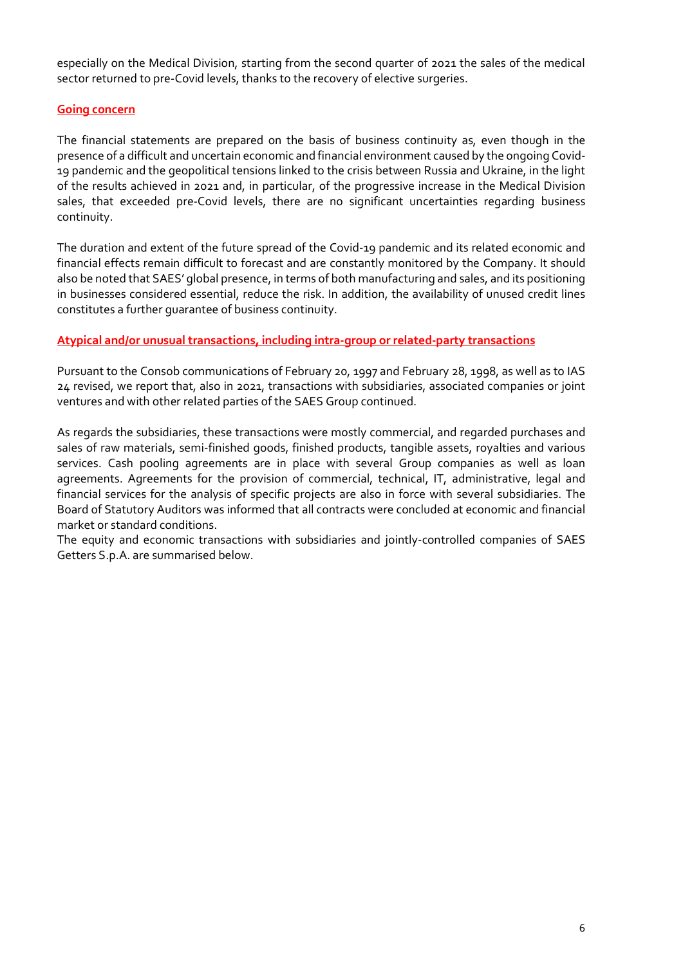especially on the Medical Division, starting from the second quarter of 2021 the sales of the medical sector returned to pre-Covid levels, thanks to the recovery of elective surgeries.

#### Going concern

The financial statements are prepared on the basis of business continuity as, even though in the presence of a difficult and uncertain economic and financial environment caused by the ongoing Covid-19 pandemic and the geopolitical tensions linked to the crisis between Russia and Ukraine, in the light of the results achieved in 2021 and, in particular, of the progressive increase in the Medical Division sales, that exceeded pre-Covid levels, there are no significant uncertainties regarding business continuity.

The duration and extent of the future spread of the Covid-19 pandemic and its related economic and financial effects remain difficult to forecast and are constantly monitored by the Company. It should also be noted that SAES' global presence, in terms of both manufacturing and sales, and its positioning in businesses considered essential, reduce the risk. In addition, the availability of unused credit lines constitutes a further guarantee of business continuity.

### Atypical and/or unusual transactions, including intra-group or related-party transactions

Pursuant to the Consob communications of February 20, 1997 and February 28, 1998, as well as to IAS 24 revised, we report that, also in 2021, transactions with subsidiaries, associated companies or joint ventures and with other related parties of the SAES Group continued.

As regards the subsidiaries, these transactions were mostly commercial, and regarded purchases and sales of raw materials, semi-finished goods, finished products, tangible assets, royalties and various services. Cash pooling agreements are in place with several Group companies as well as loan agreements. Agreements for the provision of commercial, technical, IT, administrative, legal and financial services for the analysis of specific projects are also in force with several subsidiaries. The Board of Statutory Auditors was informed that all contracts were concluded at economic and financial market or standard conditions.

The equity and economic transactions with subsidiaries and jointly-controlled companies of SAES Getters S.p.A. are summarised below.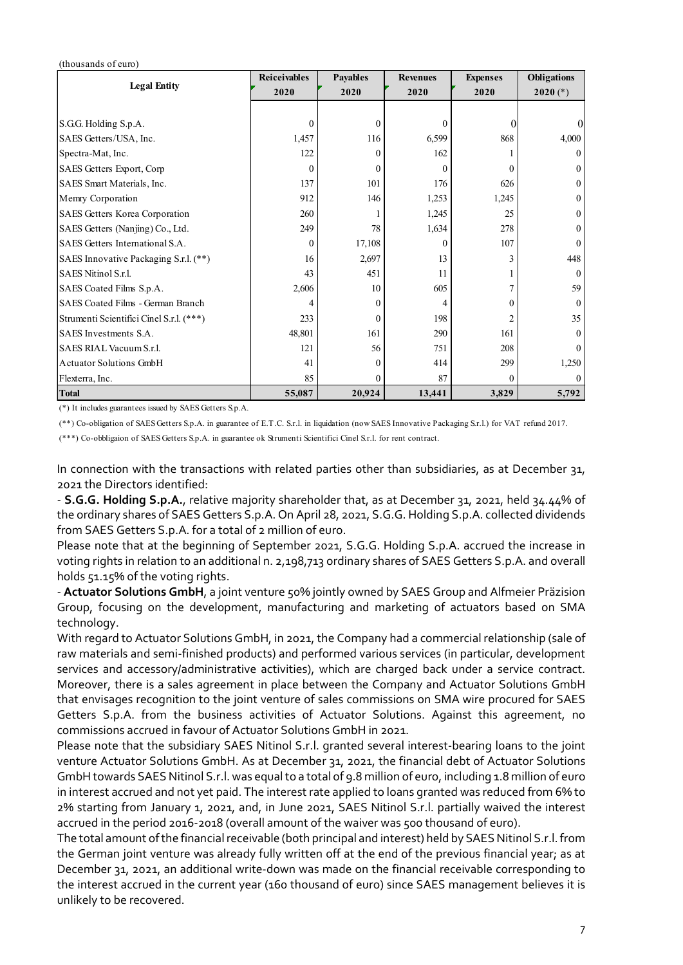#### (thousands of euro)

| (thousands of euro)<br><b>Legal Entity</b>                                    | Reiceivables   | Payables           | <b>Revenues</b>  | <b>Expenses</b>           | Obligations       |
|-------------------------------------------------------------------------------|----------------|--------------------|------------------|---------------------------|-------------------|
|                                                                               | 2020           | 2020               | 2020             | 2020                      | $2020 (*)$        |
|                                                                               |                |                    |                  |                           |                   |
| S.G.G. Holding S.p.A.                                                         | $\theta$       | $\bf{0}$           | $\boldsymbol{0}$ | $\theta$                  | 0                 |
| SAES Getters/USA, Inc.                                                        | 1,457          | 116                | 6,599            | 868                       | 4,000             |
| Spectra-Mat, Inc.                                                             | 122            | $\Omega$           | 162              |                           | $\Omega$          |
| SAES Getters Export, Corp                                                     | $\overline{0}$ | $\Omega$           | $\theta$         | $\mathbf{0}$              |                   |
| SAES Smart Materials, Inc.                                                    | 137            | 101                | 176              | 626                       |                   |
| Memry Corporation                                                             | 912            | 146                | 1,253            | 1,245                     |                   |
| SAES Getters Korea Corporation                                                | 260            |                    | 1,245            | 25                        |                   |
| SAES Getters (Nanjing) Co., Ltd.                                              | 249            | 78                 | 1,634            | 278                       |                   |
| SAES Getters International S.A.                                               | $\mathbf{0}$   | 17,108             | $\theta$         | 107                       | $\theta$          |
| SAES Innovative Packaging S.r.l. (**)                                         | 16             | 2,697              | 13               | 3                         | 448               |
| SAES Nitinol S.r.l.                                                           | 43             | 451                | 11               |                           | $\Omega$          |
|                                                                               | 2,606          | 10                 | 605              | $\tau$                    | 59                |
| SAES Coated Films S.p.A.                                                      |                | $\theta$           | 4                | $\boldsymbol{0}$          | $\boldsymbol{0}$  |
|                                                                               | 4              |                    |                  | 2                         | 35                |
| SAES Coated Films - German Branch<br>Strumenti Scientifici Cinel S.r.l. (***) | 233            | $\Omega$           | 198              |                           |                   |
| SAES Investments S.A.                                                         | 48,801         | 161                | 290              | 161                       | $\Omega$          |
|                                                                               | 121            | 56                 | 751              | 208                       | $\Omega$          |
| SAES RIAL Vacuum S.r.l.<br>Actuator Solutions GmbH                            | 41             | $\theta$           | 414              | 299                       | 1,250             |
| Flexterra, Inc.<br><b>Total</b>                                               | 85<br>55,087   | $\theta$<br>20,924 | 87<br>13,441     | $\boldsymbol{0}$<br>3,829 | $\theta$<br>5,792 |

- S.G.G. Holding S.p.A., relative majority shareholder that, as at December 31, 2021, held 34.44% of the ordinary shares of SAES Getters S.p.A. On April 28, 2021, S.G.G. Holding S.p.A. collected dividends from SAES Getters S.p.A. for a total of 2 million of euro.

Please note that at the beginning of September 2021, S.G.G. Holding S.p.A. accrued the increase in voting rights in relation to an additional n. 2,198,713 ordinary shares of SAES Getters S.p.A. and overall holds 51.15% of the voting rights.

- Actuator Solutions GmbH, a joint venture 50% jointly owned by SAES Group and Alfmeier Präzision Group, focusing on the development, manufacturing and marketing of actuators based on SMA technology.

With regard to Actuator Solutions GmbH, in 2021, the Company had a commercial relationship (sale of raw materials and semi-finished products) and performed various services (in particular, development services and accessory/administrative activities), which are charged back under a service contract. Moreover, there is a sales agreement in place between the Company and Actuator Solutions GmbH that envisages recognition to the joint venture of sales commissions on SMA wire procured for SAES Getters S.p.A. from the business activities of Actuator Solutions. Against this agreement, no commissions accrued in favour of Actuator Solutions GmbH in 2021.

Please note that the subsidiary SAES Nitinol S.r.l. granted several interest-bearing loans to the joint venture Actuator Solutions GmbH. As at December 31, 2021, the financial debt of Actuator Solutions GmbH towards SAES Nitinol S.r.l. was equal to a total of 9.8 million of euro, including 1.8 million of euro in interest accrued and not yet paid. The interest rate applied to loans granted was reduced from 6% to 2% starting from January 1, 2021, and, in June 2021, SAES Nitinol S.r.l. partially waived the interest accrued in the period 2016-2018 (overall amount of the waiver was 500 thousand of euro).

The total amount of the financial receivable (both principal and interest) held by SAES Nitinol S.r.l. from the German joint venture was already fully written off at the end of the previous financial year; as at December 31, 2021, an additional write-down was made on the financial receivable corresponding to the interest accrued in the current year (160 thousand of euro) since SAES management believes it is unlikely to be recovered.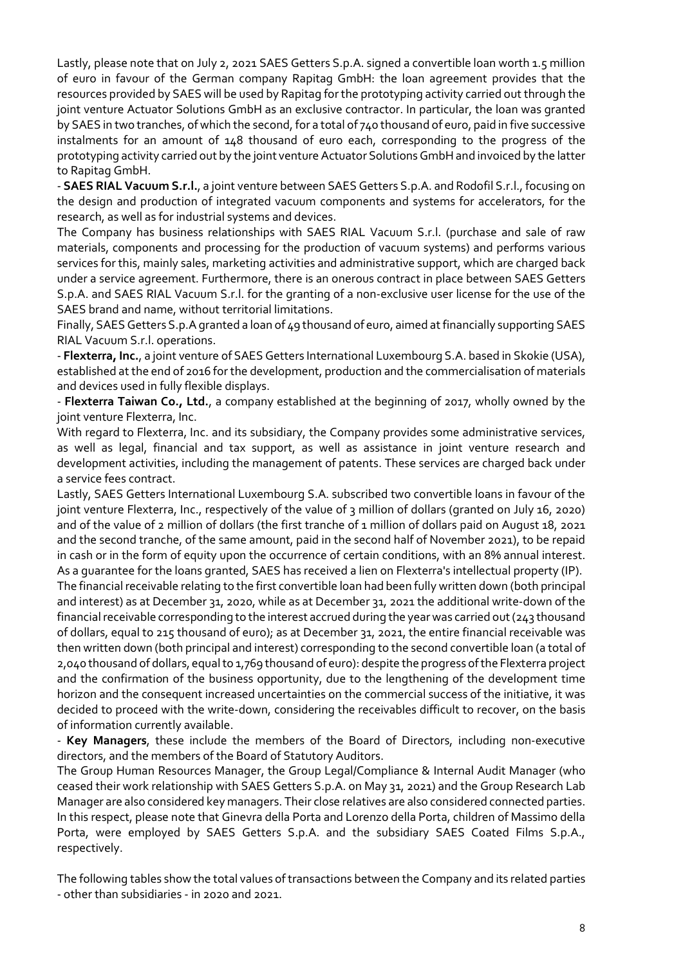Lastly, please note that on July 2, 2021 SAES Getters S.p.A. signed a convertible loan worth 1.5 million of euro in favour of the German company Rapitag GmbH: the loan agreement provides that the resources provided by SAES will be used by Rapitag for the prototyping activity carried out through the joint venture Actuator Solutions GmbH as an exclusive contractor. In particular, the loan was granted by SAES in two tranches, of which the second, for a total of 740 thousand of euro, paid in five successive instalments for an amount of 148 thousand of euro each, corresponding to the progress of the prototyping activity carried out by the joint venture Actuator Solutions GmbH and invoiced by the latter to Rapitag GmbH.

- SAES RIAL Vacuum S.r.l., a joint venture between SAES Getters S.p.A. and Rodofil S.r.l., focusing on the design and production of integrated vacuum components and systems for accelerators, for the research, as well as for industrial systems and devices.

The Company has business relationships with SAES RIAL Vacuum S.r.l. (purchase and sale of raw materials, components and processing for the production of vacuum systems) and performs various services for this, mainly sales, marketing activities and administrative support, which are charged back under a service agreement. Furthermore, there is an onerous contract in place between SAES Getters S.p.A. and SAES RIAL Vacuum S.r.l. for the granting of a non-exclusive user license for the use of the SAES brand and name, without territorial limitations.

Finally, SAES Getters S.p.A granted a loan of 49 thousand of euro, aimed at financially supporting SAES RIAL Vacuum S.r.l. operations.

- Flexterra, Inc., a joint venture of SAES Getters International Luxembourg S.A. based in Skokie (USA), established at the end of 2016 for the development, production and the commercialisation of materials and devices used in fully flexible displays.

- Flexterra Taiwan Co., Ltd., a company established at the beginning of 2017, wholly owned by the joint venture Flexterra, Inc.

With regard to Flexterra, Inc. and its subsidiary, the Company provides some administrative services, as well as legal, financial and tax support, as well as assistance in joint venture research and development activities, including the management of patents. These services are charged back under a service fees contract.

Lastly, SAES Getters International Luxembourg S.A. subscribed two convertible loans in favour of the joint venture Flexterra, Inc., respectively of the value of 3 million of dollars (granted on July 16, 2020) and of the value of 2 million of dollars (the first tranche of 1 million of dollars paid on August 18, 2021 and the second tranche, of the same amount, paid in the second half of November 2021), to be repaid in cash or in the form of equity upon the occurrence of certain conditions, with an 8% annual interest. As a guarantee for the loans granted, SAES has received a lien on Flexterra's intellectual property (IP).

The financial receivable relating to the first convertible loan had been fully written down (both principal and interest) as at December 31, 2020, while as at December 31, 2021 the additional write-down of the financial receivable corresponding to the interest accrued during the year was carried out (243 thousand of dollars, equal to 215 thousand of euro); as at December 31, 2021, the entire financial receivable was then written down (both principal and interest) corresponding to the second convertible loan (a total of 2,040 thousand of dollars, equal to 1,769 thousand of euro): despite the progress of the Flexterra project and the confirmation of the business opportunity, due to the lengthening of the development time horizon and the consequent increased uncertainties on the commercial success of the initiative, it was decided to proceed with the write-down, considering the receivables difficult to recover, on the basis of information currently available.

- Key Managers, these include the members of the Board of Directors, including non-executive directors, and the members of the Board of Statutory Auditors.

The Group Human Resources Manager, the Group Legal/Compliance & Internal Audit Manager (who ceased their work relationship with SAES Getters S.p.A. on May 31, 2021) and the Group Research Lab Manager are also considered key managers. Their close relatives are also considered connected parties. In this respect, please note that Ginevra della Porta and Lorenzo della Porta, children of Massimo della Porta, were employed by SAES Getters S.p.A. and the subsidiary SAES Coated Films S.p.A., respectively.

The following tables show the total values of transactions between the Company and its related parties - other than subsidiaries - in 2020 and 2021.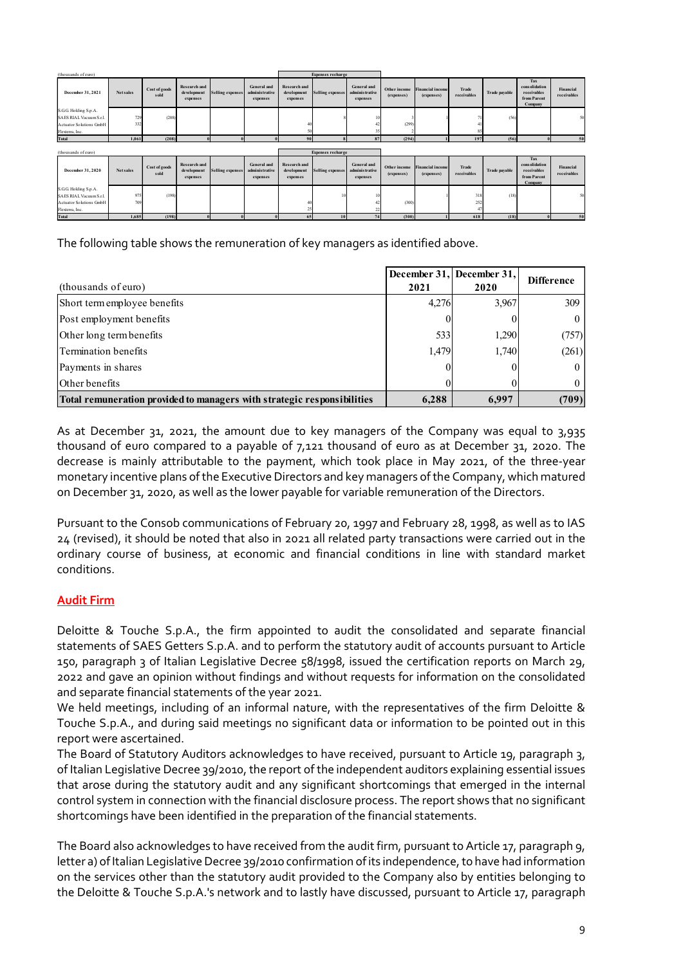| (thousands of euro)                                                                       |                       |                                         |                 |                                            |                                         | <b>Expenses recharge</b> |                                            |                                   |                             |                                            |                                   |                                                               |                          |
|-------------------------------------------------------------------------------------------|-----------------------|-----------------------------------------|-----------------|--------------------------------------------|-----------------------------------------|--------------------------|--------------------------------------------|-----------------------------------|-----------------------------|--------------------------------------------|-----------------------------------|---------------------------------------------------------------|--------------------------|
| December 31, 2021<br>${\bf Net\, sales}$                                                  | Cost of goods<br>sold | Research and<br>development<br>expenses | elling expens   | General and<br>adminis trative<br>expenses | Research and<br>development<br>expenses | elling expense           | General and<br>adminis trative<br>expenses | <b>Other income</b><br>(expenses) | nancial incol<br>(expenses) | Trade<br>$\operatorname{\mathsf{receive}}$ | <b>Trade payable</b>              | Tax<br>consolidation<br>receivables<br>from Parent<br>Company | Financial<br>receivables |
| GG Holding S.p.A.<br>SAES RIAL Vacuum S.r.l.                                              | (208)<br>72'          |                                         |                 |                                            |                                         |                          |                                            |                                   |                             |                                            | (56)                              |                                                               |                          |
| <b>Actuator Solutions GmbI</b><br>Flexterra, Inc<br>Total                                 | 1,061<br>(208)        |                                         |                 |                                            |                                         |                          |                                            | (299)<br>(294)                    |                             | 197                                        | (56)                              |                                                               |                          |
| (thousands of euro)                                                                       |                       |                                         |                 |                                            |                                         | <b>Expenses recharge</b> |                                            |                                   |                             |                                            |                                   |                                                               |                          |
| December 31, 2020<br><b>Net sales</b>                                                     | Cost of goods<br>sold | Research an<br>development              | ielling expense | General and<br>administrative              | Research and<br>development             | Selling expense          | General and<br>adminis trative             | Other incom<br>(expenses)         | nancial incom<br>(expenses) | Trade<br>receivables                       | Trade payable                     | Tax<br>consolidatio<br>receivables                            | Financial<br>receivables |
| S.G.G. Holding S.p.A.                                                                     |                       | expenses                                |                 | expenses                                   | expenses                                |                          | expenses                                   |                                   |                             |                                            |                                   | from Parent<br>Company                                        |                          |
| SAES RIAL Vacuum S.r.l.<br><b>Actuator Solutions GmbH</b><br>Flexterra, Inc.              | 97<br>(198)<br>70     |                                         |                 |                                            |                                         |                          |                                            | (300)                             |                             | 318<br>252                                 | (18)                              |                                                               |                          |
| Total                                                                                     | 1,685<br>(198)        |                                         |                 |                                            | 65                                      | 10                       |                                            | (300)                             |                             | 618                                        | (18)                              |                                                               |                          |
| The following table shows the remuneration of key managers as identified above.           |                       |                                         |                 |                                            |                                         |                          |                                            |                                   |                             |                                            |                                   |                                                               |                          |
|                                                                                           |                       |                                         |                 |                                            |                                         |                          |                                            |                                   |                             |                                            |                                   |                                                               |                          |
| (thousands of euro)                                                                       |                       |                                         |                 |                                            |                                         |                          |                                            |                                   | 2021                        |                                            | December 31, December 31,<br>2020 |                                                               | <b>Difference</b>        |
| Short term employee benefits                                                              |                       |                                         |                 |                                            |                                         |                          |                                            |                                   | 4,276                       |                                            | 3,967                             |                                                               | 309                      |
| Post employment benefits                                                                  |                       |                                         |                 |                                            |                                         |                          |                                            |                                   |                             | $\boldsymbol{0}$                           | $\theta$                          |                                                               | $\boldsymbol{0}$         |
| Other long term benefits                                                                  |                       |                                         |                 |                                            |                                         |                          |                                            |                                   | 533                         |                                            | 1,290                             |                                                               | (757)                    |
| Termination benefits                                                                      |                       |                                         |                 |                                            |                                         |                          |                                            |                                   | 1,479                       |                                            | 1,740                             |                                                               | (261)                    |
|                                                                                           |                       |                                         |                 |                                            |                                         |                          |                                            |                                   | $\sqrt{ }$                  |                                            |                                   |                                                               | $\overline{0}$           |
| Payments in shares                                                                        |                       |                                         |                 |                                            |                                         |                          |                                            |                                   |                             |                                            |                                   |                                                               |                          |
| Other benefits<br>Total remuneration provided to managers with strategic responsibilities |                       |                                         |                 |                                            |                                         |                          |                                            |                                   |                             |                                            |                                   |                                                               | $\boldsymbol{0}$         |

| December 31, 2021                                                                                                                                                                                                                                                                                                                                                                            | <b>Net sales</b> | Cost of good | Research and<br>development<br>expenses | <b>Selling expenses</b> | General and<br>administrative<br>expenses  | <b>Research</b> and<br>development<br>expenses | <b>Selling expenses</b>  | General and<br>administrative<br>expenses  | (expenses)                        | inancial income<br>(expenses) | receivables          | <b>Trade payable</b>      | cons olidatio<br>receivables<br>from Parent<br>Compan | Financial<br>receivables |
|----------------------------------------------------------------------------------------------------------------------------------------------------------------------------------------------------------------------------------------------------------------------------------------------------------------------------------------------------------------------------------------------|------------------|--------------|-----------------------------------------|-------------------------|--------------------------------------------|------------------------------------------------|--------------------------|--------------------------------------------|-----------------------------------|-------------------------------|----------------------|---------------------------|-------------------------------------------------------|--------------------------|
| S.G.G Holding S.p.A.<br>SAES RIAL Vacuum S.r.<br><b>Actuator Solutions GmbF</b>                                                                                                                                                                                                                                                                                                              |                  | (208)        |                                         |                         |                                            |                                                |                          |                                            | (299)                             |                               |                      |                           |                                                       |                          |
| Flexterra, Inc.<br>Total                                                                                                                                                                                                                                                                                                                                                                     | 1,061            | (208)        |                                         |                         |                                            |                                                |                          |                                            | (294)                             |                               | 197                  | (56)                      |                                                       |                          |
|                                                                                                                                                                                                                                                                                                                                                                                              |                  |              |                                         |                         |                                            |                                                |                          |                                            |                                   |                               |                      |                           |                                                       |                          |
| (thousands of curo)                                                                                                                                                                                                                                                                                                                                                                          |                  |              |                                         |                         |                                            |                                                | <b>Expenses recharge</b> |                                            |                                   |                               |                      |                           | Tax                                                   |                          |
| December 31, 2020                                                                                                                                                                                                                                                                                                                                                                            | Net sales        | Cost of good | Research and<br>development<br>expenses | Selling expenses        | General and<br>adminis trative<br>expenses | <b>Research and</b><br>development<br>expenses | Selling expense          | General and<br>adminis trative<br>expenses | <b>Other income</b><br>(expenses) | ancial income<br>(expenses)   | Trade<br>receivables | <b>Trade payable</b>      | cons olidation<br>receivables<br>from Parent          | Financial<br>receivables |
| S.G.G. Holding S.p.A.<br>SAES RIAL Vacuum S.r.l<br><b>Actuator Solutions GmbH</b>                                                                                                                                                                                                                                                                                                            |                  |              |                                         |                         |                                            |                                                |                          |                                            | (300)                             |                               |                      |                           | Company                                               |                          |
| Flexterra, Inc.<br>Total                                                                                                                                                                                                                                                                                                                                                                     | 1,685            | (198)        |                                         |                         |                                            | 65                                             |                          |                                            | (300)                             |                               | 618                  | (18)                      |                                                       |                          |
|                                                                                                                                                                                                                                                                                                                                                                                              |                  |              |                                         |                         |                                            |                                                |                          |                                            |                                   |                               |                      | December 31, December 31. |                                                       | <b>Difference</b>        |
| (thousands of euro)                                                                                                                                                                                                                                                                                                                                                                          |                  |              |                                         |                         |                                            |                                                |                          |                                            |                                   | 2021                          |                      | 2020                      |                                                       |                          |
| Short term employee benefits                                                                                                                                                                                                                                                                                                                                                                 |                  |              |                                         |                         |                                            |                                                |                          |                                            |                                   | 4,276                         |                      | 3,967                     |                                                       | 309                      |
| Post employment benefits                                                                                                                                                                                                                                                                                                                                                                     |                  |              |                                         |                         |                                            |                                                |                          |                                            |                                   |                               |                      |                           |                                                       |                          |
| Other long term benefits                                                                                                                                                                                                                                                                                                                                                                     |                  |              |                                         |                         |                                            |                                                |                          |                                            |                                   | 533                           |                      | 1,290                     |                                                       | (757)                    |
| Termination benefits                                                                                                                                                                                                                                                                                                                                                                         |                  |              |                                         |                         |                                            |                                                |                          |                                            |                                   | 1,479                         |                      | 1,740                     |                                                       | (261)                    |
| Payments in shares                                                                                                                                                                                                                                                                                                                                                                           |                  |              |                                         |                         |                                            |                                                |                          |                                            |                                   |                               |                      |                           |                                                       |                          |
| Other benefits                                                                                                                                                                                                                                                                                                                                                                               |                  |              |                                         |                         |                                            |                                                |                          |                                            |                                   |                               |                      |                           |                                                       |                          |
| Total remuneration provided to managers with strategic responsibilities                                                                                                                                                                                                                                                                                                                      |                  |              |                                         |                         |                                            |                                                |                          |                                            |                                   | 6,288                         |                      | 6,997                     |                                                       | (709)                    |
| As at December 31, 2021, the amount due to key managers of the Company was equal to 3,935<br>thousand of euro compared to a payable of 7,121 thousand of euro as at December 31, 2020. The<br>decrease is mainly attributable to the payment, which took place in May 2021, of the three-year<br>propositive incontrue of the Eventius Directors and less means as the Company which matured |                  |              |                                         |                         |                                            |                                                |                          |                                            |                                   |                               |                      |                           |                                                       |                          |

As at December 31, 2021, the amount due to key managers of the Company was equal to 3,935 thousand of euro compared to a payable of 7,121 thousand of euro as at December 31, 2020. The decrease is mainly attributable to the payment, which took place in May 2021, of the three-year monetary incentive plans of the Executive Directors and key managers of the Company, which matured on December 31, 2020, as well as the lower payable for variable remuneration of the Directors.

Pursuant to the Consob communications of February 20, 1997 and February 28, 1998, as well as to IAS 24 (revised), it should be noted that also in 2021 all related party transactions were carried out in the ordinary course of business, at economic and financial conditions in line with standard market conditions.

# Audit Firm

Deloitte & Touche S.p.A., the firm appointed to audit the consolidated and separate financial statements of SAES Getters S.p.A. and to perform the statutory audit of accounts pursuant to Article 150, paragraph 3 of Italian Legislative Decree 58/1998, issued the certification reports on March 29, 2022 and gave an opinion without findings and without requests for information on the consolidated and separate financial statements of the year 2021.

We held meetings, including of an informal nature, with the representatives of the firm Deloitte & Touche S.p.A., and during said meetings no significant data or information to be pointed out in this report were ascertained.

The Board of Statutory Auditors acknowledges to have received, pursuant to Article 19, paragraph 3, of Italian Legislative Decree 39/2010, the report of the independent auditors explaining essential issues that arose during the statutory audit and any significant shortcomings that emerged in the internal control system in connection with the financial disclosure process. The report shows that no significant shortcomings have been identified in the preparation of the financial statements.

The Board also acknowledges to have received from the audit firm, pursuant to Article 17, paragraph 9, letter a) of Italian Legislative Decree 39/2010 confirmation of its independence, to have had information on the services other than the statutory audit provided to the Company also by entities belonging to the Deloitte & Touche S.p.A.'s network and to lastly have discussed, pursuant to Article 17, paragraph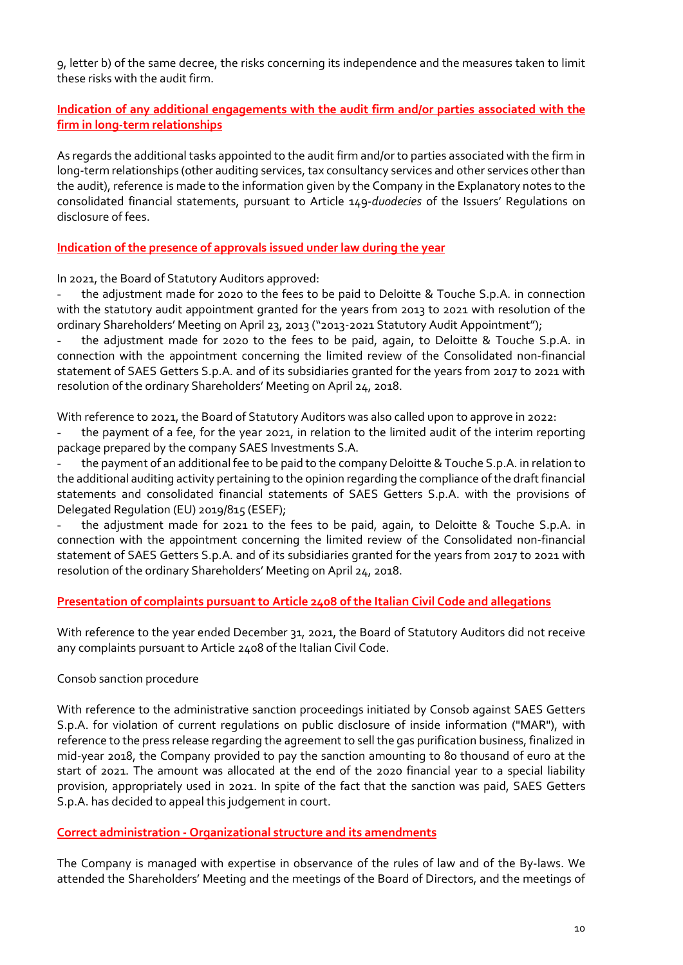9, letter b) of the same decree, the risks concerning its independence and the measures taken to limit these risks with the audit firm.

# Indication of any additional engagements with the audit firm and/or parties associated with the firm in long-term relationships

As regards the additional tasks appointed to the audit firm and/or to parties associated with the firm in long-term relationships (other auditing services, tax consultancy services and other services other than the audit), reference is made to the information given by the Company in the Explanatory notes to the consolidated financial statements, pursuant to Article 149-duodecies of the Issuers' Regulations on disclosure of fees.

#### Indication of the presence of approvals issued under law during the year

In 2021, the Board of Statutory Auditors approved:

the adjustment made for 2020 to the fees to be paid to Deloitte & Touche S.p.A. in connection with the statutory audit appointment granted for the years from 2013 to 2021 with resolution of the ordinary Shareholders' Meeting on April 23, 2013 ("2013-2021 Statutory Audit Appointment");

the adjustment made for 2020 to the fees to be paid, again, to Deloitte & Touche S.p.A. in connection with the appointment concerning the limited review of the Consolidated non-financial statement of SAES Getters S.p.A. and of its subsidiaries granted for the years from 2017 to 2021 with resolution of the ordinary Shareholders' Meeting on April 24, 2018.

With reference to 2021, the Board of Statutory Auditors was also called upon to approve in 2022:

the payment of a fee, for the year 2021, in relation to the limited audit of the interim reporting package prepared by the company SAES Investments S.A.

the payment of an additional fee to be paid to the company Deloitte & Touche S.p.A. in relation to the additional auditing activity pertaining to the opinion regarding the compliance of the draft financial statements and consolidated financial statements of SAES Getters S.p.A. with the provisions of Delegated Regulation (EU) 2019/815 (ESEF);

the adjustment made for 2021 to the fees to be paid, again, to Deloitte & Touche S.p.A. in connection with the appointment concerning the limited review of the Consolidated non-financial statement of SAES Getters S.p.A. and of its subsidiaries granted for the years from 2017 to 2021 with resolution of the ordinary Shareholders' Meeting on April 24, 2018.

### Presentation of complaints pursuant to Article 2408 of the Italian Civil Code and allegations

With reference to the year ended December 31, 2021, the Board of Statutory Auditors did not receive any complaints pursuant to Article 2408 of the Italian Civil Code.

### Consob sanction procedure

With reference to the administrative sanction proceedings initiated by Consob against SAES Getters S.p.A. for violation of current regulations on public disclosure of inside information ("MAR"), with reference to the press release regarding the agreement to sell the gas purification business, finalized in mid-year 2018, the Company provided to pay the sanction amounting to 80 thousand of euro at the start of 2021. The amount was allocated at the end of the 2020 financial year to a special liability provision, appropriately used in 2021. In spite of the fact that the sanction was paid, SAES Getters S.p.A. has decided to appeal this judgement in court.

### Correct administration - Organizational structure and its amendments

The Company is managed with expertise in observance of the rules of law and of the By-laws. We attended the Shareholders' Meeting and the meetings of the Board of Directors, and the meetings of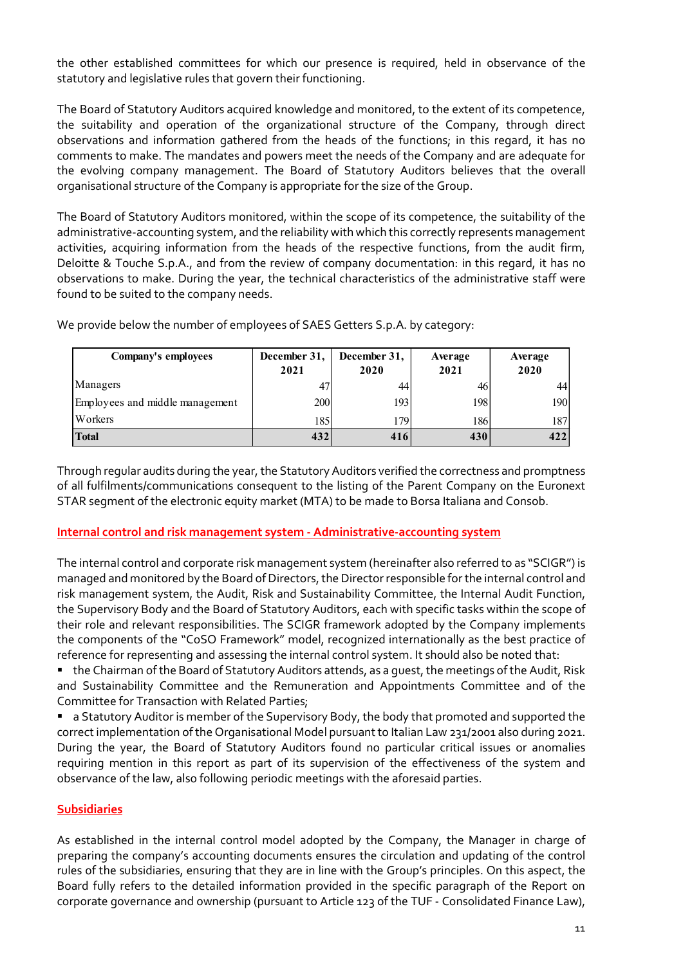the other established committees for which our presence is required, held in observance of the statutory and legislative rules that govern their functioning.

The Board of Statutory Auditors monitored, within the scope of its competence, the suitability of the administrative-accounting system, and the reliability with which this correctly represents management activities, acquiring information from the heads of the respective functions, from the audit firm, Deloitte & Touche S.p.A., and from the review of company documentation: in this regard, it has no observations to make. During the year, the technical characteristics of the administrative staff were found to be suited to the company needs. established committees for which our presence is required, held in observance of the<br>
ord legislative rules that govern their functioning.<br>
of Statutory Auditions acquired knowledge and monitored, to the extent of its comp

| omments to make. The mandates and powers meet the needs of the Company and are adequate for<br>e evolving company management. The Board of Statutory Auditors believes that the overall                                                                                                                                                                   |              |              |            |            |
|-----------------------------------------------------------------------------------------------------------------------------------------------------------------------------------------------------------------------------------------------------------------------------------------------------------------------------------------------------------|--------------|--------------|------------|------------|
| ganisational structure of the Company is appropriate for the size of the Group.                                                                                                                                                                                                                                                                           |              |              |            |            |
| ne Board of Statutory Auditors monitored, within the scope of its competence, the suitability of the<br>ministrative-accounting system, and the reliability with which this correctly represents management<br>tivities, acquiring information from the heads of the respective functions, from the audit firm,                                           |              |              |            |            |
| eloitte & Touche S.p.A., and from the review of company documentation: in this regard, it has no<br>oservations to make. During the year, the technical characteristics of the administrative staff were<br>und to be suited to the company needs.<br>'e provide below the number of employees of SAES Getters S.p.A. by category:<br>Company's employees | December 31, | December 31, | Average    | Average    |
| Managers                                                                                                                                                                                                                                                                                                                                                  | 2021<br>47   | 2020<br>44   | 2021<br>46 | 2020<br>44 |
| Employees and middle management                                                                                                                                                                                                                                                                                                                           | 200          | 193          | 198        | 190        |
| Workers                                                                                                                                                                                                                                                                                                                                                   | 185          | 179          | 186        | 187        |

### Internal control and risk management system - Administrative-accounting system

The internal control and corporate risk management system (hereinafter also referred to as "SCIGR") is managed and monitored by the Board of Directors, the Director responsible for the internal control and risk management system, the Audit, Risk and Sustainability Committee, the Internal Audit Function, the Supervisory Body and the Board of Statutory Auditors, each with specific tasks within the scope of their role and relevant responsibilities. The SCIGR framework adopted by the Company implements the components of the "CoSO Framework" model, recognized internationally as the best practice of reference for representing and assessing the internal control system. It should also be noted that:

 the Chairman of the Board of Statutory Auditors attends, as a guest, the meetings of the Audit, Risk and Sustainability Committee and the Remuneration and Appointments Committee and of the Committee for Transaction with Related Parties;

**Example 3 Statutory Auditor is member of the Supervisory Body, the body that promoted and supported the** correct implementation of the Organisational Model pursuant to Italian Law 231/2001 also during 2021. During the year, the Board of Statutory Auditors found no particular critical issues or anomalies requiring mention in this report as part of its supervision of the effectiveness of the system and observance of the law, also following periodic meetings with the aforesaid parties.

### Subsidiaries

As established in the internal control model adopted by the Company, the Manager in charge of preparing the company's accounting documents ensures the circulation and updating of the control rules of the subsidiaries, ensuring that they are in line with the Group's principles. On this aspect, the Board fully refers to the detailed information provided in the specific paragraph of the Report on corporate governance and ownership (pursuant to Article 123 of the TUF - Consolidated Finance Law),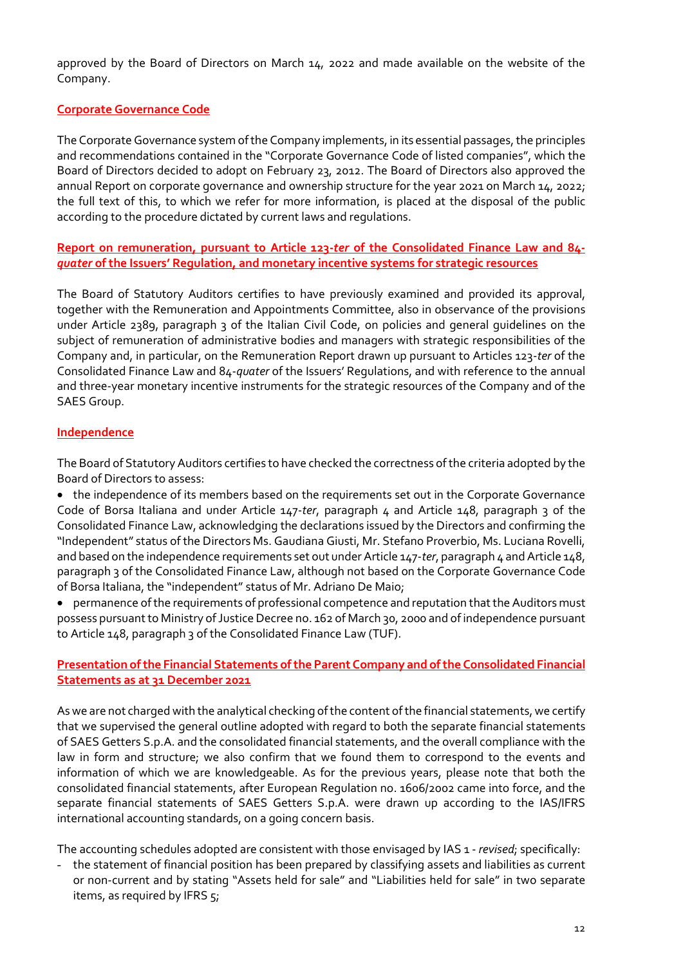approved by the Board of Directors on March 14, 2022 and made available on the website of the Company.

# Corporate Governance Code

The Corporate Governance system of the Company implements, in its essential passages, the principles and recommendations contained in the "Corporate Governance Code of listed companies", which the Board of Directors decided to adopt on February 23, 2012. The Board of Directors also approved the annual Report on corporate governance and ownership structure for the year 2021 on March 14, 2022; the full text of this, to which we refer for more information, is placed at the disposal of the public according to the procedure dictated by current laws and regulations.

Report on remuneration, pursuant to Article 123-ter of the Consolidated Finance Law and 84 quater of the Issuers' Regulation, and monetary incentive systems for strategic resources

The Board of Statutory Auditors certifies to have previously examined and provided its approval, together with the Remuneration and Appointments Committee, also in observance of the provisions under Article 2389, paragraph 3 of the Italian Civil Code, on policies and general guidelines on the subject of remuneration of administrative bodies and managers with strategic responsibilities of the Company and, in particular, on the Remuneration Report drawn up pursuant to Articles 123-ter of the Consolidated Finance Law and 84-quater of the Issuers' Regulations, and with reference to the annual and three-year monetary incentive instruments for the strategic resources of the Company and of the SAES Group.

### Independence

The Board of Statutory Auditors certifies to have checked the correctness of the criteria adopted by the Board of Directors to assess:

 the independence of its members based on the requirements set out in the Corporate Governance Code of Borsa Italiana and under Article 147-ter, paragraph 4 and Article 148, paragraph 3 of the Consolidated Finance Law, acknowledging the declarations issued by the Directors and confirming the "Independent" status of the Directors Ms. Gaudiana Giusti, Mr. Stefano Proverbio, Ms. Luciana Rovelli, and based on the independence requirements set out under Article 147-ter, paragraph 4 and Article 148, paragraph 3 of the Consolidated Finance Law, although not based on the Corporate Governance Code of Borsa Italiana, the "independent" status of Mr. Adriano De Maio;

 permanence of the requirements of professional competence and reputation that the Auditors must possess pursuant to Ministry of Justice Decree no. 162 of March 30, 2000 and of independence pursuant to Article 148, paragraph 3 of the Consolidated Finance Law (TUF).

# Presentation of the Financial Statements of the Parent Company and of the Consolidated Financial Statements as at 31 December 2021

As we are not charged with the analytical checking of the content of the financial statements, we certify that we supervised the general outline adopted with regard to both the separate financial statements of SAES Getters S.p.A. and the consolidated financial statements, and the overall compliance with the law in form and structure; we also confirm that we found them to correspond to the events and information of which we are knowledgeable. As for the previous years, please note that both the consolidated financial statements, after European Regulation no. 1606/2002 came into force, and the separate financial statements of SAES Getters S.p.A. were drawn up according to the IAS/IFRS international accounting standards, on a going concern basis.

The accounting schedules adopted are consistent with those envisaged by IAS 1 - revised; specifically:

- the statement of financial position has been prepared by classifying assets and liabilities as current or non-current and by stating "Assets held for sale" and "Liabilities held for sale" in two separate items, as required by IFRS 5;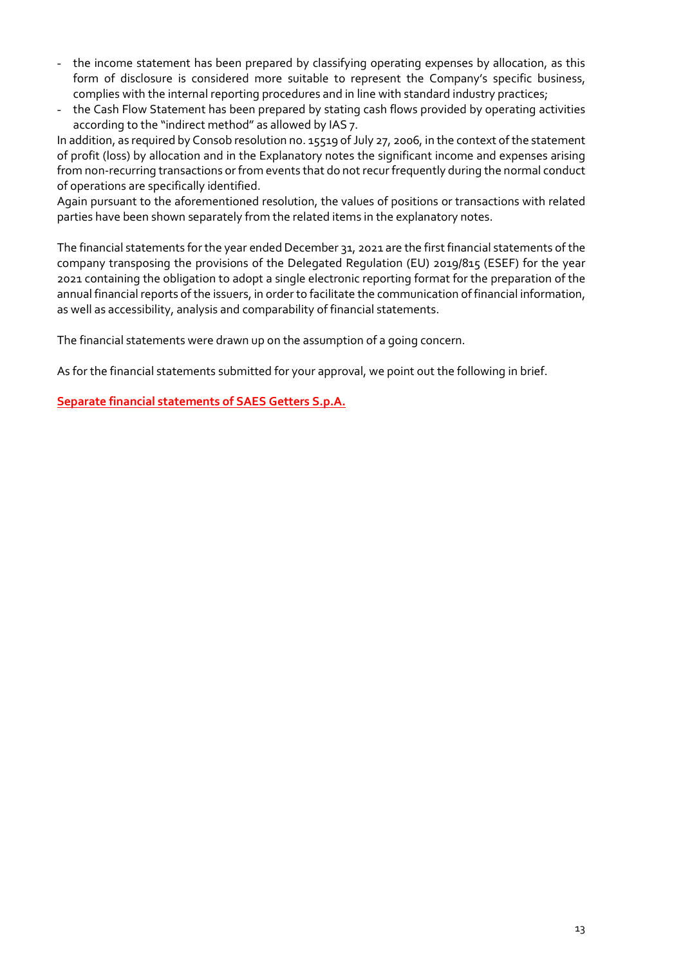- the income statement has been prepared by classifying operating expenses by allocation, as this form of disclosure is considered more suitable to represent the Company's specific business, complies with the internal reporting procedures and in line with standard industry practices;
- the Cash Flow Statement has been prepared by stating cash flows provided by operating activities according to the "indirect method" as allowed by IAS 7.

In addition, as required by Consob resolution no. 15519 of July 27, 2006, in the context of the statement of profit (loss) by allocation and in the Explanatory notes the significant income and expenses arising from non-recurring transactions or from events that do not recur frequently during the normal conduct of operations are specifically identified.

Again pursuant to the aforementioned resolution, the values of positions or transactions with related parties have been shown separately from the related items in the explanatory notes.

The financial statements for the year ended December 31, 2021 are the first financial statements of the company transposing the provisions of the Delegated Regulation (EU) 2019/815 (ESEF) for the year 2021 containing the obligation to adopt a single electronic reporting format for the preparation of the annual financial reports of the issuers, in order to facilitate the communication of financial information, as well as accessibility, analysis and comparability of financial statements.

The financial statements were drawn up on the assumption of a going concern.

As for the financial statements submitted for your approval, we point out the following in brief.

Separate financial statements of SAES Getters S.p.A.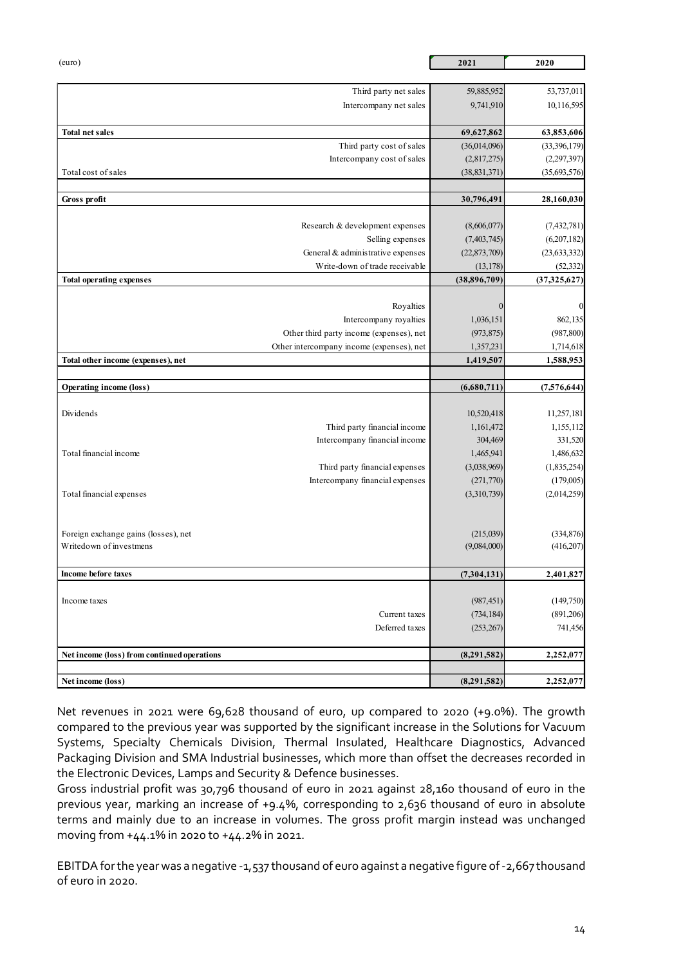|                                                                    | 2021                      | 2020                        |
|--------------------------------------------------------------------|---------------------------|-----------------------------|
| (euro)                                                             |                           |                             |
| Third party net sales                                              | 59,885,952                | 53,737,011                  |
| Intercompany net sales                                             | 9,741,910                 | 10,116,595                  |
| <b>Total net sales</b>                                             | 69,627,862                | 63,853,606                  |
| Third party cost of sales                                          | (36,014,096)              | (33,396,179)                |
| Intercompany cost of sales                                         | (2,817,275)               | (2,297,397)                 |
| Total cost of sales                                                | (38, 831, 371)            | (35,693,576)                |
| Gross profit                                                       | 30,796,491                | 28,160,030                  |
|                                                                    |                           |                             |
| Research & development expenses                                    | (8,606,077)               | (7, 432, 781)               |
| Selling expenses<br>General & administrative expenses              | (7,403,745)               | (6,207,182)                 |
| Write-down of trade receivable                                     | (22,873,709)<br>(13, 178) | (23, 633, 332)<br>(52, 332) |
| Total operating expenses                                           | (38,896,709)              | (37, 325, 627)              |
|                                                                    |                           |                             |
| Royalties                                                          |                           |                             |
| Intercompany royalties<br>Other third party income (expenses), net | 1,036,151<br>(973, 875)   | 862,135<br>(987, 800)       |
| Other intercompany income (expenses), net                          | 1,357,231                 | 1,714,618                   |
| Total other income (expenses), net                                 | 1,419,507                 | 1,588,953                   |
| <b>Operating income (loss)</b>                                     | (6,680,711)               | (7,576,644)                 |
|                                                                    |                           |                             |
| Dividends                                                          | 10,520,418                | 11,257,181                  |
| Third party financial income                                       | 1,161,472                 | 1,155,112                   |
| Intercompany financial income<br>Total financial income            | 304,469<br>1,465,941      | 331,520<br>1,486,632        |
| Third party financial expenses                                     | (3,038,969)               | (1,835,254)                 |
| Intercompany financial expenses                                    | (271, 770)                | (179,005)                   |
| Total financial expenses                                           | (3,310,739)               | (2,014,259)                 |
|                                                                    |                           |                             |
| Foreign exchange gains (losses), net                               | (215,039)                 | (334, 876)                  |
| Writedown of investmens                                            | (9,084,000)               | (416,207)                   |
| Income before taxes                                                | (7,304,131)               | 2,401,827                   |
|                                                                    |                           |                             |
| Income taxes                                                       | (987, 451)                | (149,750)                   |
| Current taxes                                                      | (734, 184)                | (891, 206)                  |
| Deferred taxes                                                     | (253, 267)                | 741,456                     |
|                                                                    | (8,291,582)               | 2,252,077                   |
| Net income (loss) from continued operations                        |                           |                             |
| Net income (loss)                                                  | (8,291,582)               | 2,252,077                   |

Net revenues in 2021 were 69,628 thousand of euro, up compared to 2020 (+9.0%). The growth compared to the previous year was supported by the significant increase in the Solutions for Vacuum Systems, Specialty Chemicals Division, Thermal Insulated, Healthcare Diagnostics, Advanced Packaging Division and SMA Industrial businesses, which more than offset the decreases recorded in the Electronic Devices, Lamps and Security & Defence businesses.

Gross industrial profit was 30,796 thousand of euro in 2021 against 28,160 thousand of euro in the previous year, marking an increase of +9.4%, corresponding to 2,636 thousand of euro in absolute terms and mainly due to an increase in volumes. The gross profit margin instead was unchanged moving from +44.1% in 2020 to +44.2% in 2021.

EBITDA for the year was a negative -1,537 thousand of euro against a negative figure of -2,667 thousand of euro in 2020.

14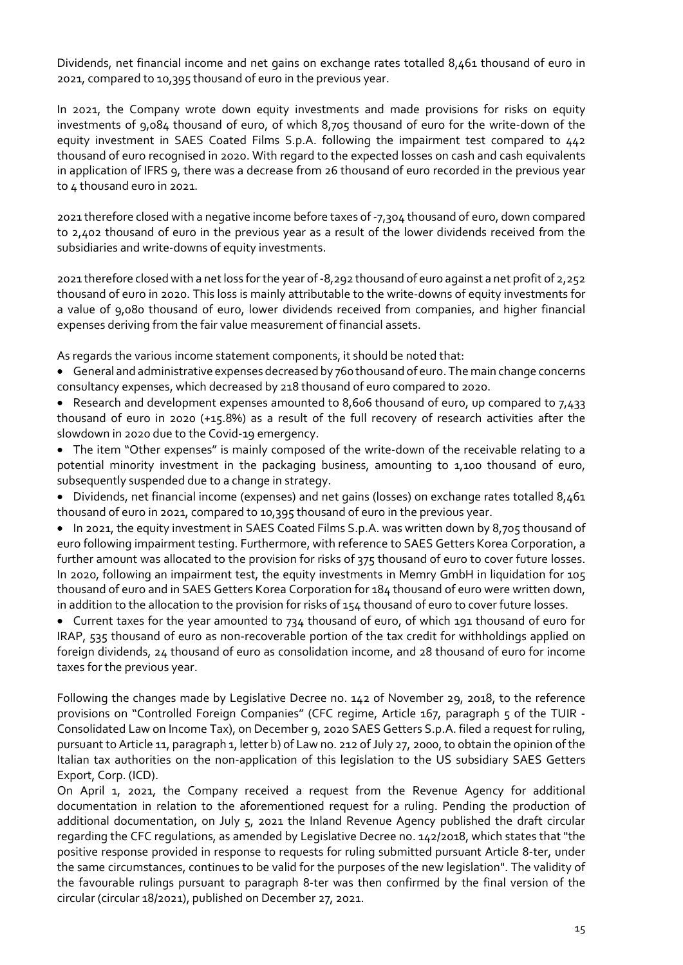Dividends, net financial income and net gains on exchange rates totalled 8,461 thousand of euro in 2021, compared to 10,395 thousand of euro in the previous year.

In 2021, the Company wrote down equity investments and made provisions for risks on equity investments of 9,084 thousand of euro, of which 8,705 thousand of euro for the write-down of the equity investment in SAES Coated Films S.p.A. following the impairment test compared to 442 thousand of euro recognised in 2020. With regard to the expected losses on cash and cash equivalents in application of IFRS 9, there was a decrease from 26 thousand of euro recorded in the previous year to 4 thousand euro in 2021.

2021 therefore closed with a negative income before taxes of -7,304 thousand of euro, down compared to 2,402 thousand of euro in the previous year as a result of the lower dividends received from the subsidiaries and write-downs of equity investments.

2021 therefore closed with a net loss for the year of -8,292 thousand of euro against a net profit of 2,252 thousand of euro in 2020. This loss is mainly attributable to the write-downs of equity investments for a value of 9,080 thousand of euro, lower dividends received from companies, and higher financial expenses deriving from the fair value measurement of financial assets.

As regards the various income statement components, it should be noted that:

- General and administrative expenses decreased by 760 thousand of euro. The main change concerns consultancy expenses, which decreased by 218 thousand of euro compared to 2020.
- Research and development expenses amounted to 8,606 thousand of euro, up compared to 7,433 thousand of euro in 2020 (+15.8%) as a result of the full recovery of research activities after the slowdown in 2020 due to the Covid-19 emergency.
- The item "Other expenses" is mainly composed of the write-down of the receivable relating to a potential minority investment in the packaging business, amounting to 1,100 thousand of euro, subsequently suspended due to a change in strategy.
- Dividends, net financial income (expenses) and net gains (losses) on exchange rates totalled 8,461 thousand of euro in 2021, compared to 10,395 thousand of euro in the previous year.

 In 2021, the equity investment in SAES Coated Films S.p.A. was written down by 8,705 thousand of euro following impairment testing. Furthermore, with reference to SAES Getters Korea Corporation, a further amount was allocated to the provision for risks of 375 thousand of euro to cover future losses. In 2020, following an impairment test, the equity investments in Memry GmbH in liquidation for 105 thousand of euro and in SAES Getters Korea Corporation for 184 thousand of euro were written down, in addition to the allocation to the provision for risks of 154 thousand of euro to cover future losses.

 Current taxes for the year amounted to 734 thousand of euro, of which 191 thousand of euro for IRAP, 535 thousand of euro as non-recoverable portion of the tax credit for withholdings applied on foreign dividends, 24 thousand of euro as consolidation income, and 28 thousand of euro for income taxes for the previous year.

Following the changes made by Legislative Decree no. 142 of November 29, 2018, to the reference provisions on "Controlled Foreign Companies" (CFC regime, Article 167, paragraph 5 of the TUIR - Consolidated Law on Income Tax), on December 9, 2020 SAES Getters S.p.A. filed a request for ruling, pursuant to Article 11, paragraph 1, letter b) of Law no. 212 of July 27, 2000, to obtain the opinion of the Italian tax authorities on the non-application of this legislation to the US subsidiary SAES Getters Export, Corp. (ICD).

On April 1, 2021, the Company received a request from the Revenue Agency for additional documentation in relation to the aforementioned request for a ruling. Pending the production of additional documentation, on July 5, 2021 the Inland Revenue Agency published the draft circular regarding the CFC regulations, as amended by Legislative Decree no. 142/2018, which states that "the positive response provided in response to requests for ruling submitted pursuant Article 8-ter, under the same circumstances, continues to be valid for the purposes of the new legislation". The validity of the favourable rulings pursuant to paragraph 8-ter was then confirmed by the final version of the circular (circular 18/2021), published on December 27, 2021.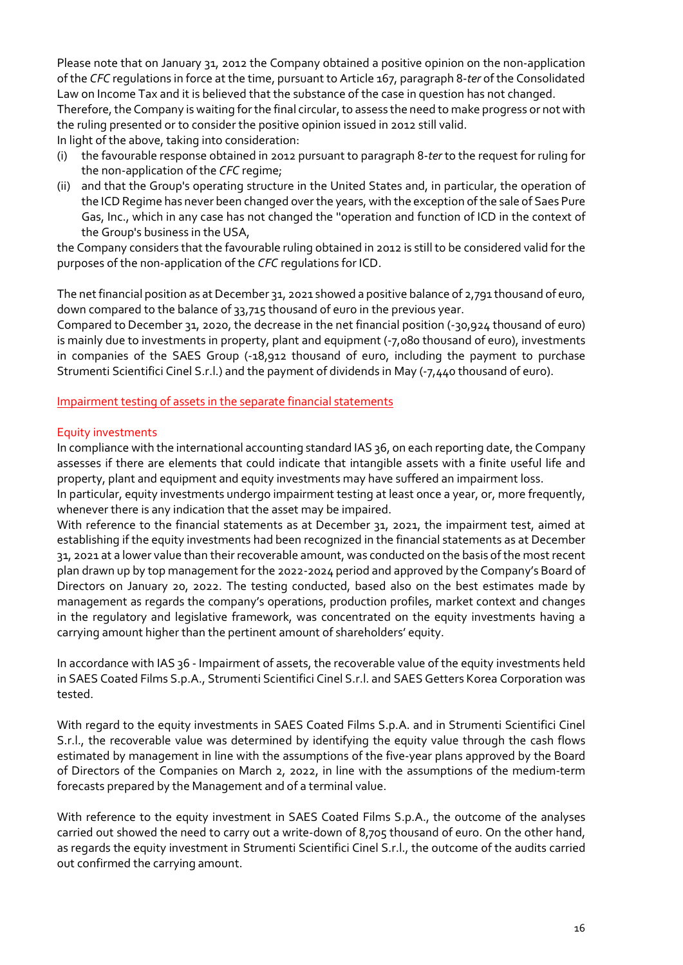Please note that on January 31, 2012 the Company obtained a positive opinion on the non-application of the CFC regulations in force at the time, pursuant to Article 167, paragraph 8-ter of the Consolidated Law on Income Tax and it is believed that the substance of the case in question has not changed. Therefore, the Company is waiting for the final circular, to assess the need to make progress or not with the ruling presented or to consider the positive opinion issued in 2012 still valid.

In light of the above, taking into consideration:

- (i) the favourable response obtained in 2012 pursuant to paragraph 8-ter to the request for ruling for the non-application of the CFC regime;
- (ii) and that the Group's operating structure in the United States and, in particular, the operation of the ICD Regime has never been changed over the years, with the exception of the sale of Saes Pure Gas, Inc., which in any case has not changed the ''operation and function of ICD in the context of the Group's business in the USA,

the Company considers that the favourable ruling obtained in 2012 is still to be considered valid for the purposes of the non-application of the CFC regulations for ICD.

The net financial position as at December 31, 2021 showed a positive balance of 2,791 thousand of euro, down compared to the balance of 33,715 thousand of euro in the previous year.

Compared to December 31, 2020, the decrease in the net financial position (-30,924 thousand of euro) is mainly due to investments in property, plant and equipment (-7,080 thousand of euro), investments in companies of the SAES Group (-18,912 thousand of euro, including the payment to purchase Strumenti Scientifici Cinel S.r.l.) and the payment of dividends in May (-7,440 thousand of euro).

Impairment testing of assets in the separate financial statements

#### Equity investments

In compliance with the international accounting standard IAS 36, on each reporting date, the Company assesses if there are elements that could indicate that intangible assets with a finite useful life and property, plant and equipment and equity investments may have suffered an impairment loss.

In particular, equity investments undergo impairment testing at least once a year, or, more frequently, whenever there is any indication that the asset may be impaired.

With reference to the financial statements as at December 31, 2021, the impairment test, aimed at establishing if the equity investments had been recognized in the financial statements as at December 31, 2021 at a lower value than their recoverable amount, was conducted on the basis of the most recent plan drawn up by top management for the 2022-2024 period and approved by the Company's Board of Directors on January 20, 2022. The testing conducted, based also on the best estimates made by management as regards the company's operations, production profiles, market context and changes in the regulatory and legislative framework, was concentrated on the equity investments having a carrying amount higher than the pertinent amount of shareholders' equity.

In accordance with IAS 36 - Impairment of assets, the recoverable value of the equity investments held in SAES Coated Films S.p.A., Strumenti Scientifici Cinel S.r.l. and SAES Getters Korea Corporation was tested.

With regard to the equity investments in SAES Coated Films S.p.A. and in Strumenti Scientifici Cinel S.r.l., the recoverable value was determined by identifying the equity value through the cash flows estimated by management in line with the assumptions of the five-year plans approved by the Board of Directors of the Companies on March 2, 2022, in line with the assumptions of the medium-term forecasts prepared by the Management and of a terminal value.

With reference to the equity investment in SAES Coated Films S.p.A., the outcome of the analyses carried out showed the need to carry out a write-down of 8,705 thousand of euro. On the other hand, as regards the equity investment in Strumenti Scientifici Cinel S.r.l., the outcome of the audits carried out confirmed the carrying amount.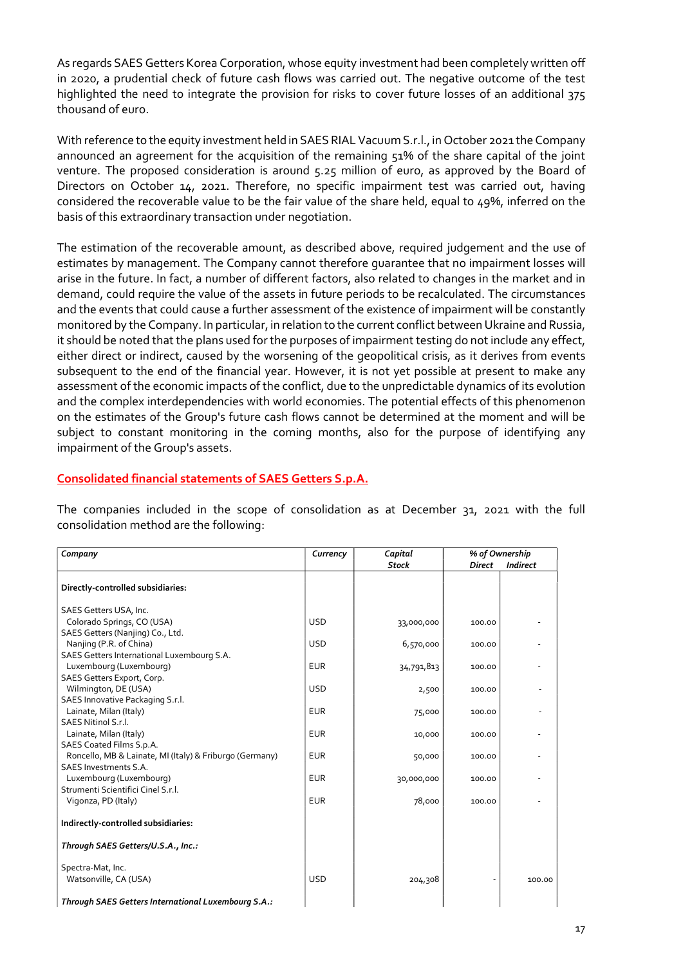As regards SAES Getters Korea Corporation, whose equity investment had been completely written off in 2020, a prudential check of future cash flows was carried out. The negative outcome of the test highlighted the need to integrate the provision for risks to cover future losses of an additional 375 thousand of euro.

With reference to the equity investment held in SAES RIAL Vacuum S.r.l., in October 2021 the Company announced an agreement for the acquisition of the remaining 51% of the share capital of the joint venture. The proposed consideration is around 5.25 million of euro, as approved by the Board of Directors on October 14, 2021. Therefore, no specific impairment test was carried out, having considered the recoverable value to be the fair value of the share held, equal to 49%, inferred on the basis of this extraordinary transaction under negotiation.

The estimation of the recoverable amount, as described above, required judgement and the use of estimates by management. The Company cannot therefore guarantee that no impairment losses will arise in the future. In fact, a number of different factors, also related to changes in the market and in demand, could require the value of the assets in future periods to be recalculated. The circumstances and the events that could cause a further assessment of the existence of impairment will be constantly monitored by the Company. In particular, in relation to the current conflict between Ukraine and Russia, it should be noted that the plans used for the purposes of impairment testing do not include any effect, either direct or indirect, caused by the worsening of the geopolitical crisis, as it derives from events subsequent to the end of the financial year. However, it is not yet possible at present to make any assessment of the economic impacts of the conflict, due to the unpredictable dynamics of its evolution and the complex interdependencies with world economies. The potential effects of this phenomenon on the estimates of the Group's future cash flows cannot be determined at the moment and will be subject to constant monitoring in the coming months, also for the purpose of identifying any impairment of the Group's assets.

#### Consolidated financial statements of SAES Getters S.p.A.

The companies included in the scope of consolidation as at December 31, 2021 with the full consolidation method are the following:

| Company                                                 | Currency   | Capital      |               | % of Ownership  |
|---------------------------------------------------------|------------|--------------|---------------|-----------------|
|                                                         |            | <b>Stock</b> | <b>Direct</b> | <b>Indirect</b> |
| Directly-controlled subsidiaries:                       |            |              |               |                 |
| SAES Getters USA, Inc.                                  |            |              |               |                 |
| Colorado Springs, CO (USA)                              | <b>USD</b> | 33,000,000   | 100.00        |                 |
| SAES Getters (Nanjing) Co., Ltd.                        |            |              |               |                 |
| Nanjing (P.R. of China)                                 | <b>USD</b> | 6,570,000    | 100.00        |                 |
| SAES Getters International Luxembourg S.A.              |            |              |               |                 |
| Luxembourg (Luxembourg)                                 | <b>EUR</b> | 34,791,813   | 100.00        |                 |
| SAES Getters Export, Corp.                              |            |              |               |                 |
| Wilmington, DE (USA)                                    | <b>USD</b> | 2,500        | 100.00        |                 |
| SAES Innovative Packaging S.r.l.                        |            |              |               |                 |
| Lainate, Milan (Italy)                                  | <b>EUR</b> | 75,000       | 100.00        |                 |
| SAES Nitinol S.r.l.                                     |            |              |               |                 |
| Lainate, Milan (Italy)                                  | <b>EUR</b> | 10,000       | 100.00        |                 |
| SAES Coated Films S.p.A.                                |            |              |               |                 |
| Roncello, MB & Lainate, MI (Italy) & Friburgo (Germany) | <b>EUR</b> | 50,000       | 100.00        |                 |
| SAES Investments S.A.                                   |            |              |               |                 |
| Luxembourg (Luxembourg)                                 | <b>EUR</b> | 30,000,000   | 100.00        |                 |
| Strumenti Scientifici Cinel S.r.l.                      |            |              |               |                 |
| Vigonza, PD (Italy)                                     | <b>EUR</b> | 78,000       | 100.00        |                 |
| Indirectly-controlled subsidiaries:                     |            |              |               |                 |
| Through SAES Getters/U.S.A., Inc.:                      |            |              |               |                 |
| Spectra-Mat, Inc.                                       |            |              |               |                 |
| Watsonville, CA (USA)                                   | <b>USD</b> | 204,308      |               | 100.00          |
|                                                         |            |              |               |                 |
| Through SAES Getters International Luxembourg S.A.:     |            |              |               |                 |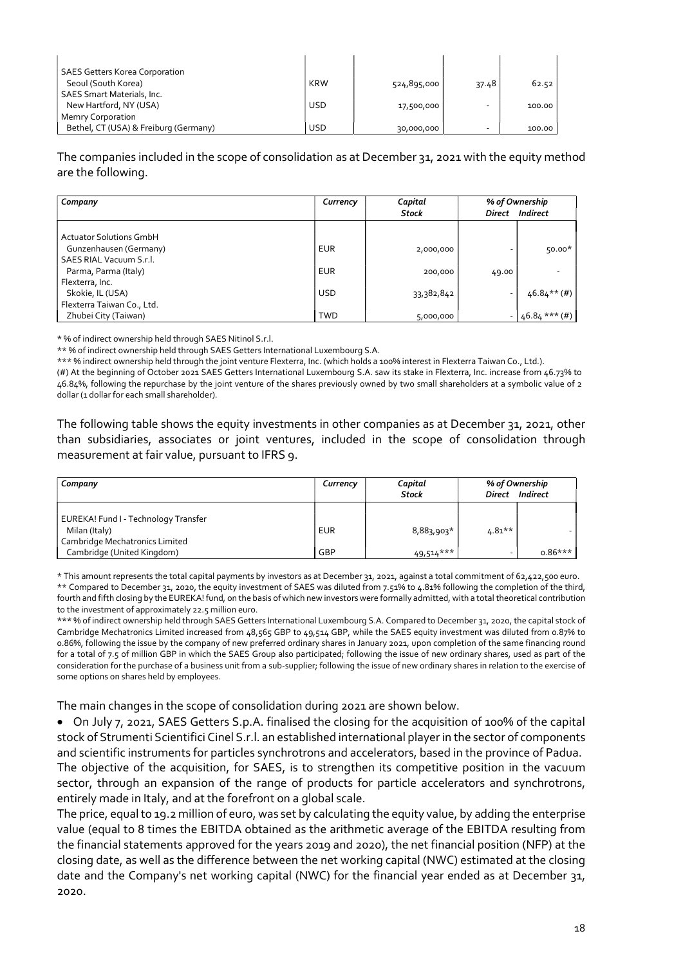| <b>SAES Getters Korea Corporation</b> |            |             |       |        |
|---------------------------------------|------------|-------------|-------|--------|
| Seoul (South Korea)                   | KRW        | 524,895,000 | 37.48 | 62.52  |
| <b>SAES Smart Materials, Inc.</b>     |            |             |       |        |
| New Hartford, NY (USA)                | <b>USD</b> | 17,500,000  | -     | 100.00 |
| <b>Memry Corporation</b>              |            |             |       |        |
| Bethel, CT (USA) & Freiburg (Germany) | <b>USD</b> | 30,000,000  | -     | 100.00 |

The companies included in the scope of consolidation as at December 31, 2021 with the equity method are the following.

| Company                        | Currency   | Capital<br>Stock |       | % of Ownership<br>Direct Indirect |
|--------------------------------|------------|------------------|-------|-----------------------------------|
|                                |            |                  |       |                                   |
| <b>Actuator Solutions GmbH</b> |            |                  |       |                                   |
| Gunzenhausen (Germany)         | <b>EUR</b> | 2,000,000        | ۰     | $50.00*$                          |
| <b>SAES RIAL Vacuum S.r.l.</b> |            |                  |       |                                   |
| Parma, Parma (Italy)           | <b>EUR</b> | 200,000          | 49.00 |                                   |
| Flexterra, Inc.                |            |                  |       |                                   |
| Skokie, IL (USA)               | <b>USD</b> | 33,382,842       | ٠     | $46.84***$ (#)                    |
| Flexterra Taiwan Co., Ltd.     |            |                  |       |                                   |
| Zhubei City (Taiwan)           | <b>TWD</b> | 5,000,000        |       | $46.84***$ (#)                    |

\* % of indirect ownership held through SAES Nitinol S.r.l.

\*\* % of indirect ownership held through SAES Getters International Luxembourg S.A.

\*\*\* % indirect ownership held through the joint venture Flexterra, Inc. (which holds a 100% interest in Flexterra Taiwan Co., Ltd.).

(#) At the beginning of October 2021 SAES Getters International Luxembourg S.A. saw its stake in Flexterra, Inc. increase from 46.73% to 46.84%, following the repurchase by the joint venture of the shares previously owned by two small shareholders at a symbolic value of 2 dollar (1 dollar for each small shareholder).

The following table shows the equity investments in other companies as at December 31, 2021, other than subsidiaries, associates or joint ventures, included in the scope of consolidation through measurement at fair value, pursuant to IFRS 9.

| Company                                                                                 | Currency   | Capital<br><b>Stock</b> |           | % of Ownership<br>Direct Indirect |
|-----------------------------------------------------------------------------------------|------------|-------------------------|-----------|-----------------------------------|
| EUREKA! Fund I - Technology Transfer<br>Milan (Italy)<br>Cambridge Mechatronics Limited | <b>EUR</b> | 8,883,903*              | $4.81***$ |                                   |
| Cambridge (United Kingdom)                                                              | GBP        | $49,514***$             |           | $0.86***$                         |

\* This amount represents the total capital payments by investors as at December 31, 2021, against a total commitment of 62,422,500 euro. \*\* Compared to December 31, 2020, the equity investment of SAES was diluted from 7.51% to 4.81% following the completion of the third, fourth and fifth closing by the EUREKA! fund, on the basis of which new investors were formally admitted, with a total theoretical contribution to the investment of approximately 22.5 million euro.

\*\*\* % of indirect ownership held through SAES Getters International Luxembourg S.A. Compared to December 31, 2020, the capital stock of Cambridge Mechatronics Limited increased from 48,565 GBP to 49,514 GBP, while the SAES equity investment was diluted from 0.87% to 0.86%, following the issue by the company of new preferred ordinary shares in January 2021, upon completion of the same financing round for a total of 7.5 of million GBP in which the SAES Group also participated; following the issue of new ordinary shares, used as part of the consideration for the purchase of a business unit from a sub-supplier; following the issue of new ordinary shares in relation to the exercise of some options on shares held by employees.

The main changes in the scope of consolidation during 2021 are shown below.

 On July 7, 2021, SAES Getters S.p.A. finalised the closing for the acquisition of 100% of the capital stock of Strumenti Scientifici Cinel S.r.l. an established international player in the sector of components and scientific instruments for particles synchrotrons and accelerators, based in the province of Padua. The objective of the acquisition, for SAES, is to strengthen its competitive position in the vacuum sector, through an expansion of the range of products for particle accelerators and synchrotrons, entirely made in Italy, and at the forefront on a global scale.

The price, equal to 19.2 million of euro, was set by calculating the equity value, by adding the enterprise value (equal to 8 times the EBITDA obtained as the arithmetic average of the EBITDA resulting from the financial statements approved for the years 2019 and 2020), the net financial position (NFP) at the closing date, as well as the difference between the net working capital (NWC) estimated at the closing date and the Company's net working capital (NWC) for the financial year ended as at December 31, 2020.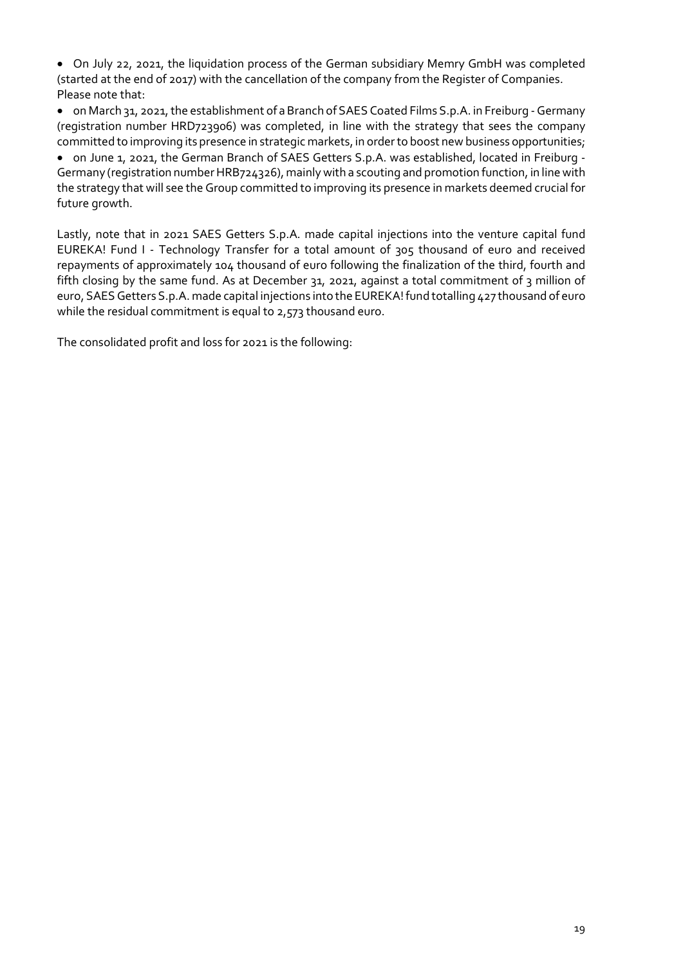On July 22, 2021, the liquidation process of the German subsidiary Memry GmbH was completed (started at the end of 2017) with the cancellation of the company from the Register of Companies. Please note that:

 on March 31, 2021, the establishment of a Branch of SAES Coated Films S.p.A. in Freiburg - Germany (registration number HRD723906) was completed, in line with the strategy that sees the company committed to improving its presence in strategic markets, in order to boost new business opportunities;

 on June 1, 2021, the German Branch of SAES Getters S.p.A. was established, located in Freiburg - Germany (registration number HRB724326), mainly with a scouting and promotion function, in line with the strategy that will see the Group committed to improving its presence in markets deemed crucial for future growth.

Lastly, note that in 2021 SAES Getters S.p.A. made capital injections into the venture capital fund EUREKA! Fund I - Technology Transfer for a total amount of 305 thousand of euro and received repayments of approximately 104 thousand of euro following the finalization of the third, fourth and fifth closing by the same fund. As at December 31, 2021, against a total commitment of 3 million of euro, SAES Getters S.p.A. made capital injections into the EUREKA! fund totalling 427 thousand of euro while the residual commitment is equal to 2,573 thousand euro.

The consolidated profit and loss for 2021 is the following: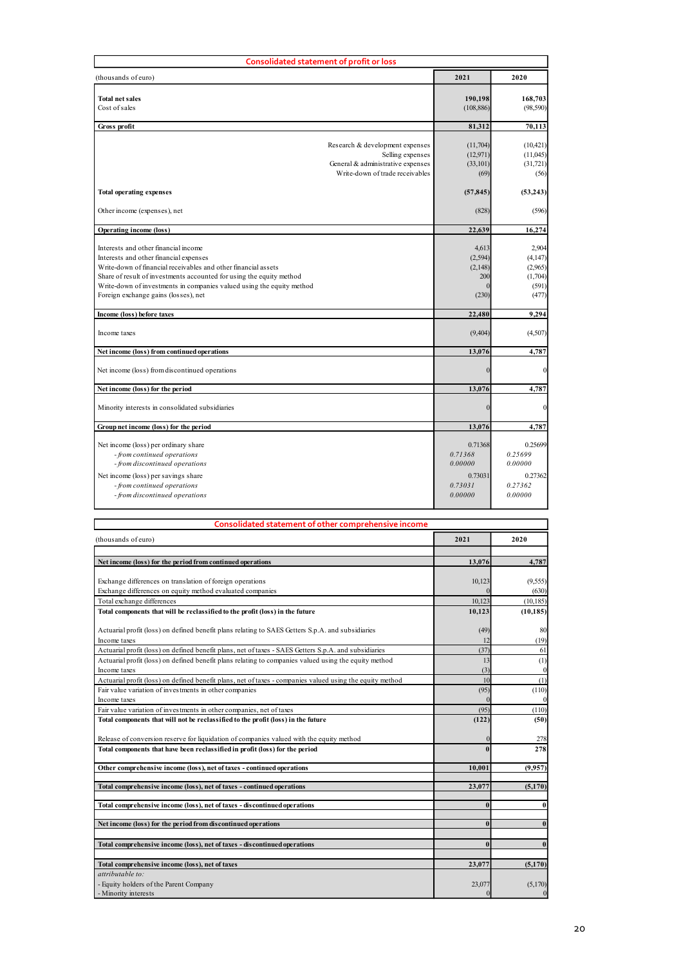| Consolidated statement of profit or loss                                                                                                                                                                                           |                                |                               |
|------------------------------------------------------------------------------------------------------------------------------------------------------------------------------------------------------------------------------------|--------------------------------|-------------------------------|
| (thousands of euro)                                                                                                                                                                                                                | 2021                           | 2020                          |
| <b>Total net sales</b><br>Cost of sales                                                                                                                                                                                            | 190,198<br>(108, 886)          | 168,703<br>(98, 590)          |
| Gross profit                                                                                                                                                                                                                       | 81,312                         | 70,113                        |
| Research & development expenses                                                                                                                                                                                                    | (11,704)                       | (10, 421)                     |
| Selling expenses<br>General & administrative expenses<br>Write-down of trade receivables                                                                                                                                           | (12, 971)<br>(33, 101)<br>(69) | (11,045)<br>(31, 721)<br>(56) |
| <b>Total operating expenses</b>                                                                                                                                                                                                    | (57, 845)                      | (53, 243)                     |
| Other income (expenses), net                                                                                                                                                                                                       | (828)                          | (596)                         |
| Operating income (loss)                                                                                                                                                                                                            | 22,639                         | 16,274                        |
| Interests and other financial income                                                                                                                                                                                               | 4,613                          | 2,904                         |
| Interests and other financial expenses<br>Write-down of financial receivables and other financial assets                                                                                                                           | (2, 594)<br>(2, 148)<br>200    | (4,147)<br>(2,965)<br>(1,704) |
| Share of result of investments accounted for using the equity method<br>Write-down of investments in companies valued using the equity method                                                                                      |                                | (591)                         |
| Foreign exchange gains (losses), net                                                                                                                                                                                               | (230)                          | (477)                         |
| Income (loss) before taxes<br>Income taxes                                                                                                                                                                                         | 22,480<br>(9, 404)             | 9,294<br>(4,507)              |
|                                                                                                                                                                                                                                    |                                |                               |
| Net income (loss) from continued operations<br>Net income (loss) from discontinued operations                                                                                                                                      | 13,076                         | 4,787                         |
| Net income (loss) for the period                                                                                                                                                                                                   | 13,076                         | 4,787                         |
| Minority interests in consolidated subsidiaries                                                                                                                                                                                    |                                |                               |
| Group net income (loss) for the period                                                                                                                                                                                             | 13,076                         | 4,787                         |
| Net income (loss) per ordinary share                                                                                                                                                                                               | 0.71368                        | 0.25699                       |
| - from continued operations<br>- from discontinued operations                                                                                                                                                                      | 0.71368<br>0.00000             | 0.25699<br>0.00000            |
| Net income (loss) per savings share                                                                                                                                                                                                | 0.73031                        | 0.27362                       |
| - from continued operations<br>- from discontinued operations                                                                                                                                                                      | 0.73031<br>0.00000             | 0.27362<br>0.00000            |
|                                                                                                                                                                                                                                    |                                |                               |
| Consolidated statement of other comprehensive income<br>(thousands of euro)                                                                                                                                                        | 2021                           | 2020                          |
|                                                                                                                                                                                                                                    | 13,076                         | 4,787                         |
| Net income (loss) for the period from continued operations                                                                                                                                                                         |                                |                               |
| Exchange differences on translation of foreign operations<br>Exchange differences on equity method evaluated companies                                                                                                             | 10,123                         | (9, 555)<br>(630)             |
| Total exchange differences<br>Total components that will be reclassified to the profit (loss) in the future                                                                                                                        | 10,123<br>10,123               | (10, 185)<br>(10, 185)        |
|                                                                                                                                                                                                                                    | (49)<br>12                     | 80<br>(19)                    |
| Actuarial profit (loss) on defined benefit plans relating to SAES Getters S.p.A. and subsidiaries                                                                                                                                  |                                |                               |
| Income taxes<br>Actuarial profit (loss) on defined benefit plans, net of taxes - SAES Getters S.p.A. and subsidiaries                                                                                                              | (37)                           | 61                            |
| Actuarial profit (loss) on defined benefit plans relating to companies valued using the equity method<br>Income taxes<br>Actuarial profit (loss) on defined benefit plans, net of taxes - companies valued using the equity method | 13<br>(3)<br>10                | $\left(1\right)$<br>(1)       |

| Income taxes                                                                                                                                                                                                   | (9,404)            | (4,507)                |
|----------------------------------------------------------------------------------------------------------------------------------------------------------------------------------------------------------------|--------------------|------------------------|
| Net income (loss) from continued operations                                                                                                                                                                    | 13,076             | 4,787                  |
|                                                                                                                                                                                                                |                    |                        |
| Net income (loss) from discontinued operations                                                                                                                                                                 |                    |                        |
| Net income (loss) for the period                                                                                                                                                                               | 13,076             | 4,787                  |
|                                                                                                                                                                                                                |                    |                        |
| Minority interests in consolidated subsidiaries                                                                                                                                                                |                    |                        |
| Group net income (loss) for the period                                                                                                                                                                         | 13,076             | 4,787                  |
|                                                                                                                                                                                                                |                    |                        |
| Net income (loss) per ordinary share<br>- from continued operations                                                                                                                                            | 0.71368<br>0.71368 | 0.25699<br>0.25699     |
| - from discontinued operations                                                                                                                                                                                 | 0.00000            | 0.00000                |
| Net income (loss) per savings share                                                                                                                                                                            | 0.73031            | 0.27362                |
| - from continued operations                                                                                                                                                                                    | 0.73031            | 0.27362                |
| - from discontinued operations                                                                                                                                                                                 | 0.00000            | 0.00000                |
|                                                                                                                                                                                                                |                    |                        |
| Consolidated statement of other comprehensive income                                                                                                                                                           |                    |                        |
|                                                                                                                                                                                                                |                    |                        |
| (thousands of euro)                                                                                                                                                                                            | 2021               | 2020                   |
| Net income (loss) for the period from continued operations                                                                                                                                                     | 13,076             | 4,787                  |
|                                                                                                                                                                                                                |                    |                        |
| Exchange differences on translation of foreign operations                                                                                                                                                      | 10,123             | (9, 555)               |
| Exchange differences on equity method evaluated companies<br>Total exchange differences                                                                                                                        |                    | (630)                  |
| Total components that will be reclassified to the profit (loss) in the future                                                                                                                                  | 10,123<br>10,123   | (10, 185)<br>(10, 185) |
|                                                                                                                                                                                                                |                    |                        |
| Actuarial profit (loss) on defined benefit plans relating to SAES Getters S.p.A. and subsidiaries                                                                                                              | (49)               | $\mathbf{8}$           |
| Income taxes                                                                                                                                                                                                   | 12                 | (19)                   |
| Actuarial profit (loss) on defined benefit plans, net of taxes - SAES Getters S.p.A. and subsidiaries<br>Actuarial profit (loss) on defined benefit plans relating to companies valued using the equity method | (37)<br>13         | 61<br>(1)              |
| Income taxes                                                                                                                                                                                                   | (3)                |                        |
| Actuarial profit (loss) on defined benefit plans, net of taxes - companies valued using the equity method                                                                                                      | 10                 | (1)                    |
| Fair value variation of investments in other companies                                                                                                                                                         | (95)               | (110)                  |
| Income taxes                                                                                                                                                                                                   |                    |                        |
| Fair value variation of investments in other companies, net of taxes                                                                                                                                           | (95)<br>(122)      | (110)<br>(50)          |
| Total components that will not be reclassified to the profit (loss) in the future                                                                                                                              |                    |                        |
| Release of conversion reserve for liquidation of companies valued with the equity method                                                                                                                       |                    | 275                    |
| Total components that have been reclassified in profit (loss) for the period                                                                                                                                   |                    | 278                    |
| Other comprehensive income (loss), net of taxes - continued operations                                                                                                                                         | 10,001             | (9,957)                |
|                                                                                                                                                                                                                |                    |                        |
| Total comprehensive income (loss), net of taxes - continued operations                                                                                                                                         | 23,077             | (5,170)                |
| Total comprehensive income (loss), net of taxes - discontinued operations                                                                                                                                      |                    |                        |
| Net income (loss) for the period from discontinued operations                                                                                                                                                  | $\mathbf{0}$       |                        |
|                                                                                                                                                                                                                |                    |                        |
| Total comprehensive income (loss), net of taxes - discontinued operations                                                                                                                                      | $\theta$           |                        |
|                                                                                                                                                                                                                |                    |                        |
| Total comprehensive income (loss), net of taxes                                                                                                                                                                | 23,077             | (5,170)                |
| attributable to:<br>- Equity holders of the Parent Company                                                                                                                                                     | 23,077             | (5,170)                |
| - Minority interests                                                                                                                                                                                           |                    |                        |
|                                                                                                                                                                                                                |                    |                        |
|                                                                                                                                                                                                                |                    |                        |
|                                                                                                                                                                                                                |                    |                        |
|                                                                                                                                                                                                                |                    |                        |
|                                                                                                                                                                                                                |                    |                        |
|                                                                                                                                                                                                                |                    |                        |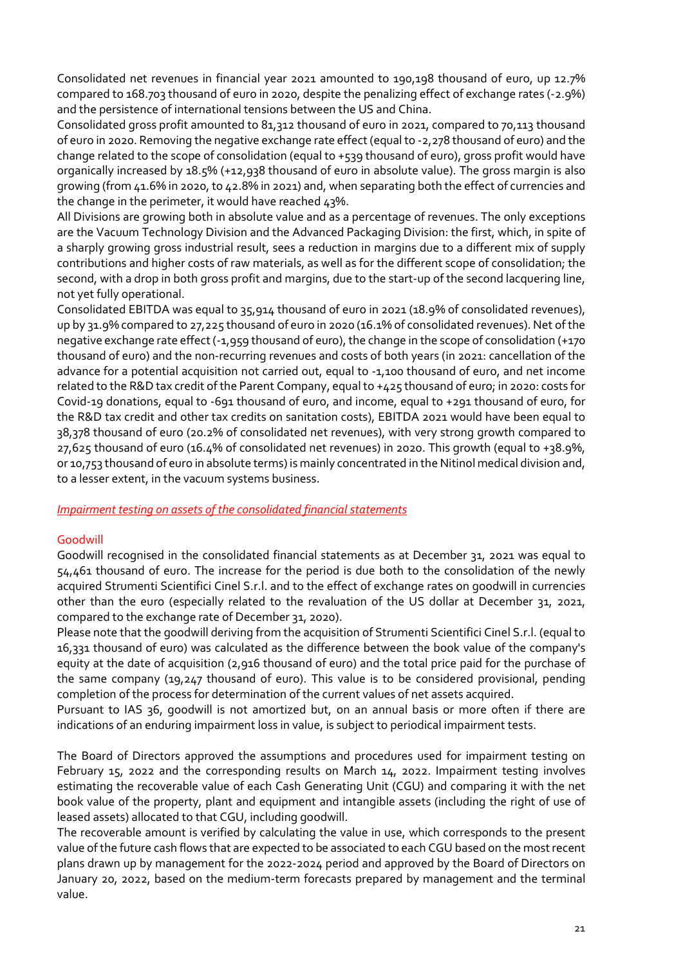Consolidated net revenues in financial year 2021 amounted to 190,198 thousand of euro, up 12.7% compared to 168.703 thousand of euro in 2020, despite the penalizing effect of exchange rates (-2.9%) and the persistence of international tensions between the US and China.

Consolidated gross profit amounted to 81,312 thousand of euro in 2021, compared to 70,113 thousand of euro in 2020. Removing the negative exchange rate effect (equal to -2,278 thousand of euro) and the change related to the scope of consolidation (equal to +539 thousand of euro), gross profit would have organically increased by 18.5% (+12,938 thousand of euro in absolute value). The gross margin is also growing (from 41.6% in 2020, to 42.8% in 2021) and, when separating both the effect of currencies and the change in the perimeter, it would have reached 43%.

All Divisions are growing both in absolute value and as a percentage of revenues. The only exceptions are the Vacuum Technology Division and the Advanced Packaging Division: the first, which, in spite of a sharply growing gross industrial result, sees a reduction in margins due to a different mix of supply contributions and higher costs of raw materials, as well as for the different scope of consolidation; the second, with a drop in both gross profit and margins, due to the start-up of the second lacquering line, not yet fully operational.

Consolidated EBITDA was equal to 35,914 thousand of euro in 2021 (18.9% of consolidated revenues), up by 31.9% compared to 27,225 thousand of euro in 2020 (16.1% of consolidated revenues). Net of the negative exchange rate effect (-1,959 thousand of euro), the change in the scope of consolidation (+170 thousand of euro) and the non-recurring revenues and costs of both years (in 2021: cancellation of the advance for a potential acquisition not carried out, equal to -1,100 thousand of euro, and net income related to the R&D tax credit of the Parent Company, equal to +425 thousand of euro; in 2020: costs for Covid-19 donations, equal to -691 thousand of euro, and income, equal to +291 thousand of euro, for the R&D tax credit and other tax credits on sanitation costs), EBITDA 2021 would have been equal to 38,378 thousand of euro (20.2% of consolidated net revenues), with very strong growth compared to 27,625 thousand of euro (16.4% of consolidated net revenues) in 2020. This growth (equal to +38.9%, or 10,753 thousand of euro in absolute terms) is mainly concentrated in the Nitinol medical division and, to a lesser extent, in the vacuum systems business.

### Impairment testing on assets of the consolidated financial statements

### Goodwill

Goodwill recognised in the consolidated financial statements as at December 31, 2021 was equal to 54,461 thousand of euro. The increase for the period is due both to the consolidation of the newly acquired Strumenti Scientifici Cinel S.r.l. and to the effect of exchange rates on goodwill in currencies other than the euro (especially related to the revaluation of the US dollar at December 31, 2021, compared to the exchange rate of December 31, 2020).

Please note that the goodwill deriving from the acquisition of Strumenti Scientifici Cinel S.r.l. (equal to 16,331 thousand of euro) was calculated as the difference between the book value of the company's equity at the date of acquisition (2,916 thousand of euro) and the total price paid for the purchase of the same company (19,247 thousand of euro). This value is to be considered provisional, pending completion of the process for determination of the current values of net assets acquired.

Pursuant to IAS 36, goodwill is not amortized but, on an annual basis or more often if there are indications of an enduring impairment loss in value, is subject to periodical impairment tests.

The Board of Directors approved the assumptions and procedures used for impairment testing on February 15, 2022 and the corresponding results on March 14, 2022. Impairment testing involves estimating the recoverable value of each Cash Generating Unit (CGU) and comparing it with the net book value of the property, plant and equipment and intangible assets (including the right of use of leased assets) allocated to that CGU, including goodwill.

The recoverable amount is verified by calculating the value in use, which corresponds to the present value of the future cash flows that are expected to be associated to each CGU based on the most recent plans drawn up by management for the 2022-2024 period and approved by the Board of Directors on January 20, 2022, based on the medium-term forecasts prepared by management and the terminal value.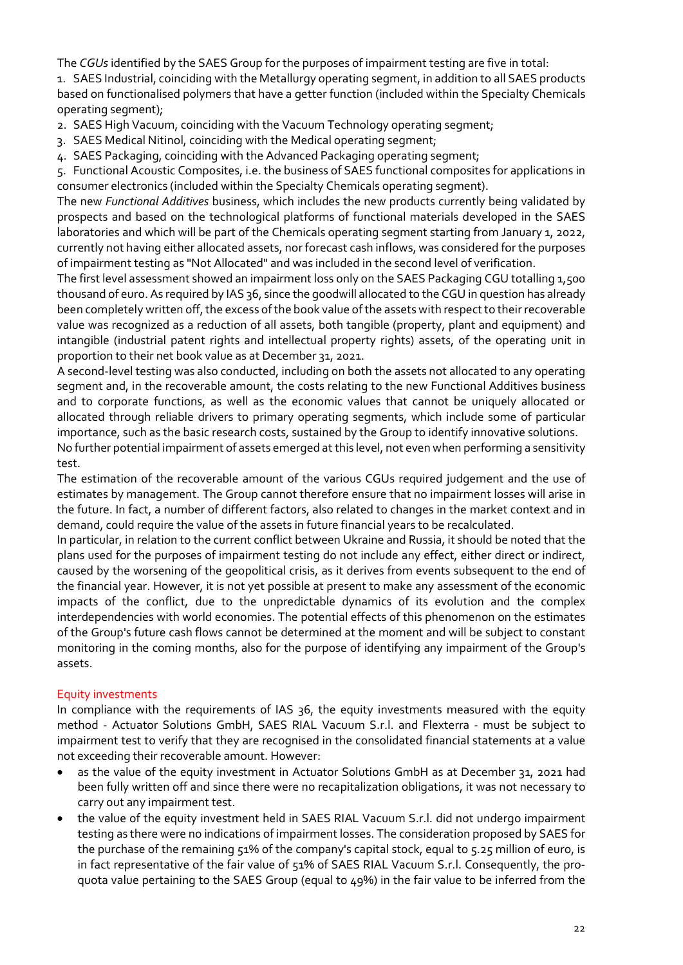The CGUs identified by the SAES Group for the purposes of impairment testing are five in total:

1. SAES Industrial, coinciding with the Metallurgy operating segment, in addition to all SAES products based on functionalised polymers that have a getter function (included within the Specialty Chemicals operating segment);

- 2. SAES High Vacuum, coinciding with the Vacuum Technology operating segment;
- 3. SAES Medical Nitinol, coinciding with the Medical operating segment;
- 4. SAES Packaging, coinciding with the Advanced Packaging operating segment;

5. Functional Acoustic Composites, i.e. the business of SAES functional composites for applications in consumer electronics (included within the Specialty Chemicals operating segment).

The new Functional Additives business, which includes the new products currently being validated by prospects and based on the technological platforms of functional materials developed in the SAES laboratories and which will be part of the Chemicals operating segment starting from January 1, 2022, currently not having either allocated assets, nor forecast cash inflows, was considered for the purposes of impairment testing as "Not Allocated" and was included in the second level of verification.

The first level assessment showed an impairment loss only on the SAES Packaging CGU totalling 1,500 thousand of euro. As required by IAS 36, since the goodwill allocated to the CGU in question has already been completely written off, the excess of the book value of the assets with respect to their recoverable value was recognized as a reduction of all assets, both tangible (property, plant and equipment) and intangible (industrial patent rights and intellectual property rights) assets, of the operating unit in proportion to their net book value as at December 31, 2021.

A second-level testing was also conducted, including on both the assets not allocated to any operating segment and, in the recoverable amount, the costs relating to the new Functional Additives business and to corporate functions, as well as the economic values that cannot be uniquely allocated or allocated through reliable drivers to primary operating segments, which include some of particular importance, such as the basic research costs, sustained by the Group to identify innovative solutions.

No further potential impairment of assets emerged at this level, not even when performing a sensitivity test.

The estimation of the recoverable amount of the various CGUs required judgement and the use of estimates by management. The Group cannot therefore ensure that no impairment losses will arise in the future. In fact, a number of different factors, also related to changes in the market context and in demand, could require the value of the assets in future financial years to be recalculated.

In particular, in relation to the current conflict between Ukraine and Russia, it should be noted that the plans used for the purposes of impairment testing do not include any effect, either direct or indirect, caused by the worsening of the geopolitical crisis, as it derives from events subsequent to the end of the financial year. However, it is not yet possible at present to make any assessment of the economic impacts of the conflict, due to the unpredictable dynamics of its evolution and the complex interdependencies with world economies. The potential effects of this phenomenon on the estimates of the Group's future cash flows cannot be determined at the moment and will be subject to constant monitoring in the coming months, also for the purpose of identifying any impairment of the Group's assets.

# Equity investments

In compliance with the requirements of IAS 36, the equity investments measured with the equity method - Actuator Solutions GmbH, SAES RIAL Vacuum S.r.l. and Flexterra - must be subject to impairment test to verify that they are recognised in the consolidated financial statements at a value not exceeding their recoverable amount. However:

- as the value of the equity investment in Actuator Solutions GmbH as at December 31, 2021 had been fully written off and since there were no recapitalization obligations, it was not necessary to carry out any impairment test.
- the value of the equity investment held in SAES RIAL Vacuum S.r.l. did not undergo impairment testing as there were no indications of impairment losses. The consideration proposed by SAES for the purchase of the remaining 51% of the company's capital stock, equal to 5.25 million of euro, is in fact representative of the fair value of 51% of SAES RIAL Vacuum S.r.l. Consequently, the proquota value pertaining to the SAES Group (equal to 49%) in the fair value to be inferred from the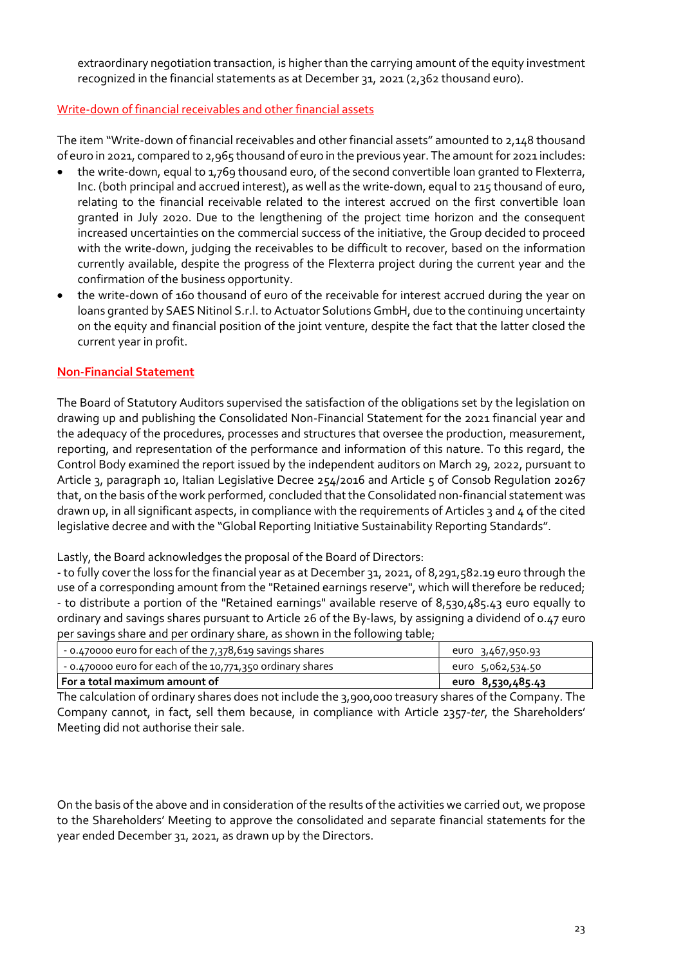extraordinary negotiation transaction, is higher than the carrying amount of the equity investment recognized in the financial statements as at December 31, 2021 (2,362 thousand euro).

#### Write-down of financial receivables and other financial assets

The item "Write-down of financial receivables and other financial assets" amounted to 2,148 thousand of euro in 2021, compared to 2,965 thousand of euro in the previous year. The amount for 2021 includes:

- the write-down, equal to 1,769 thousand euro, of the second convertible loan granted to Flexterra, Inc. (both principal and accrued interest), as well as the write-down, equal to 215 thousand of euro, relating to the financial receivable related to the interest accrued on the first convertible loan granted in July 2020. Due to the lengthening of the project time horizon and the consequent increased uncertainties on the commercial success of the initiative, the Group decided to proceed with the write-down, judging the receivables to be difficult to recover, based on the information currently available, despite the progress of the Flexterra project during the current year and the confirmation of the business opportunity.
- the write-down of 160 thousand of euro of the receivable for interest accrued during the year on loans granted by SAES Nitinol S.r.l. to Actuator Solutions GmbH, due to the continuing uncertainty on the equity and financial position of the joint venture, despite the fact that the latter closed the current year in profit.

### Non-Financial Statement

The Board of Statutory Auditors supervised the satisfaction of the obligations set by the legislation on drawing up and publishing the Consolidated Non-Financial Statement for the 2021 financial year and the adequacy of the procedures, processes and structures that oversee the production, measurement, reporting, and representation of the performance and information of this nature. To this regard, the Control Body examined the report issued by the independent auditors on March 29, 2022, pursuant to Article 3, paragraph 10, Italian Legislative Decree 254/2016 and Article 5 of Consob Regulation 20267 that, on the basis of the work performed, concluded that the Consolidated non-financial statement was drawn up, in all significant aspects, in compliance with the requirements of Articles 3 and 4 of the cited legislative decree and with the "Global Reporting Initiative Sustainability Reporting Standards".

Lastly, the Board acknowledges the proposal of the Board of Directors:

- to fully cover the loss for the financial year as at December 31, 2021, of 8,291,582.19 euro through the use of a corresponding amount from the "Retained earnings reserve", which will therefore be reduced; - to distribute a portion of the "Retained earnings" available reserve of 8,530,485.43 euro equally to ordinary and savings shares pursuant to Article 26 of the By-laws, by assigning a dividend of 0.47 euro per savings share and per ordinary share, as shown in the following table;

| $\sim$ - 0.470000 euro for each of the 7,378,619 savings shares   | euro 3,467,950.93 |
|-------------------------------------------------------------------|-------------------|
| $\sim$ - 0.470000 euro for each of the 10,771,350 ordinary shares | euro 5,062,534.50 |
| l For a total maximum amount of                                   | euro 8,530,485.43 |

The calculation of ordinary shares does not include the 3,900,000 treasury shares of the Company. The Company cannot, in fact, sell them because, in compliance with Article 2357-ter, the Shareholders' Meeting did not authorise their sale.

On the basis of the above and in consideration of the results of the activities we carried out, we propose to the Shareholders' Meeting to approve the consolidated and separate financial statements for the year ended December 31, 2021, as drawn up by the Directors.